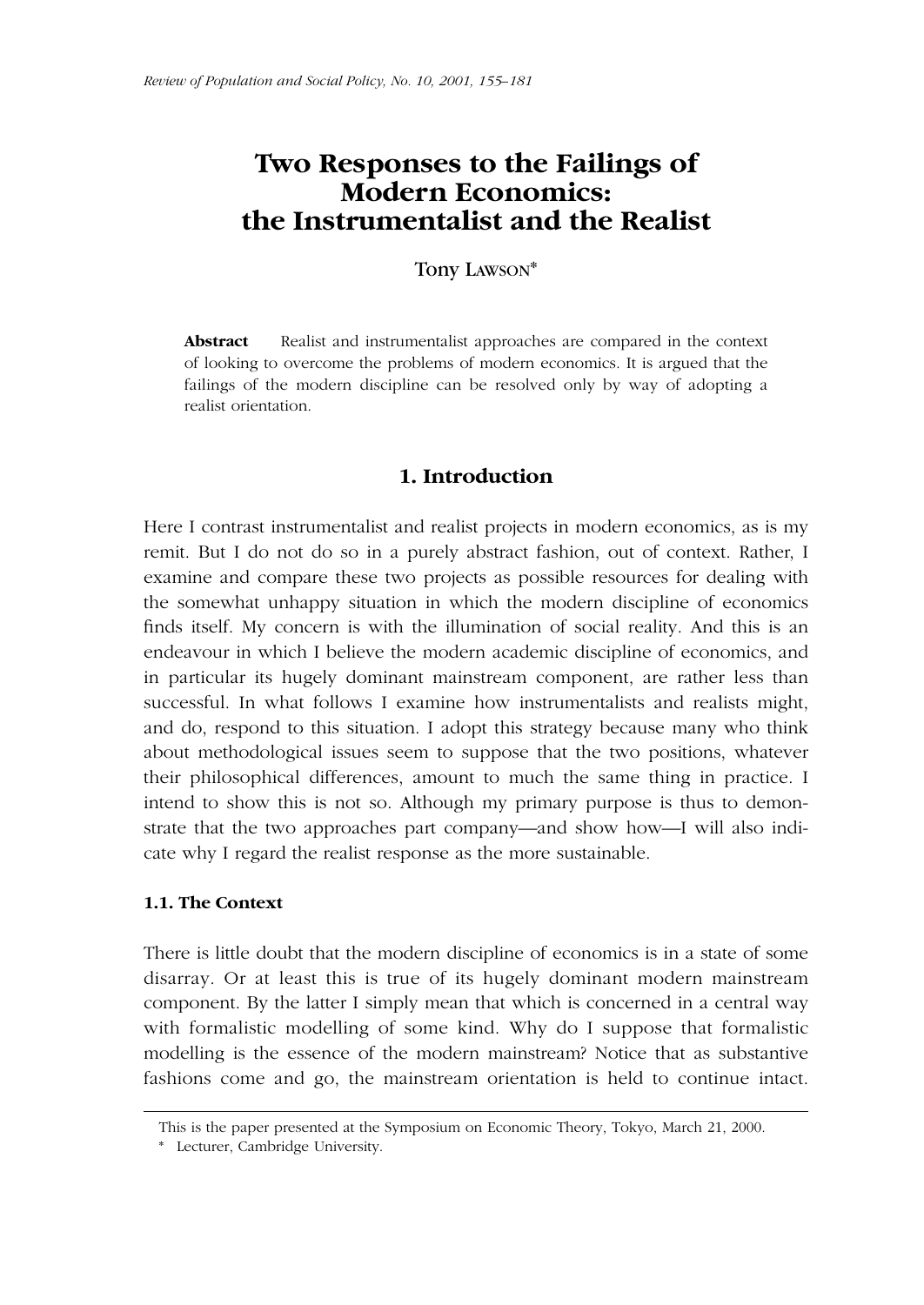# **Two Responses to the Failings of Modern Economics: the Instrumentalist and the Realist**

Tony LAWSON\*

Abstract Realist and instrumentalist approaches are compared in the context of looking to overcome the problems of modern economics. It is argued that the failings of the modern discipline can be resolved only by way of adopting a realist orientation.

# **1. Introduction**

Here I contrast instrumentalist and realist projects in modern economics, as is my remit. But I do not do so in a purely abstract fashion, out of context. Rather, I examine and compare these two projects as possible resources for dealing with the somewhat unhappy situation in which the modern discipline of economics finds itself. My concern is with the illumination of social reality. And this is an endeavour in which I believe the modern academic discipline of economics, and in particular its hugely dominant mainstream component, are rather less than successful. In what follows I examine how instrumentalists and realists might, and do, respond to this situation. I adopt this strategy because many who think about methodological issues seem to suppose that the two positions, whatever their philosophical differences, amount to much the same thing in practice. I intend to show this is not so. Although my primary purpose is thus to demonstrate that the two approaches part company—and show how—I will also indicate why I regard the realist response as the more sustainable.

## **1.1. The Context**

There is little doubt that the modern discipline of economics is in a state of some disarray. Or at least this is true of its hugely dominant modern mainstream component. By the latter I simply mean that which is concerned in a central way with formalistic modelling of some kind. Why do I suppose that formalistic modelling is the essence of the modern mainstream? Notice that as substantive fashions come and go, the mainstream orientation is held to continue intact.

This is the paper presented at the Symposium on Economic Theory, Tokyo, March 21, 2000.

<sup>\*</sup> Lecturer, Cambridge University.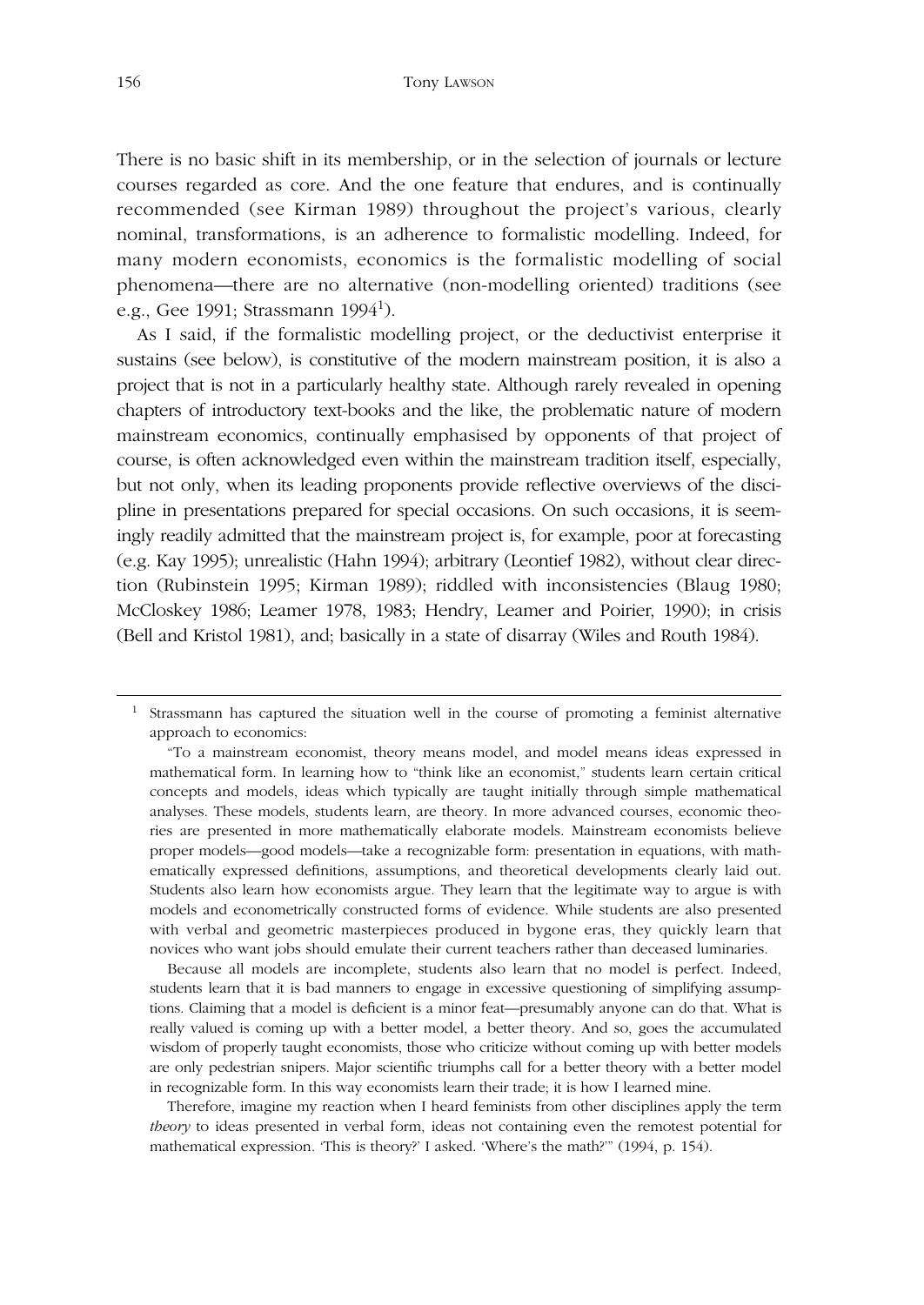There is no basic shift in its membership, or in the selection of journals or lecture courses regarded as core. And the one feature that endures, and is continually recommended (see Kirman 1989) throughout the project's various, clearly nominal, transformations, is an adherence to formalistic modelling. Indeed, for many modern economists, economics is the formalistic modelling of social phenomena—there are no alternative (non-modelling oriented) traditions (see e.g., Gee 1991; Strassmann 1994<sup>1</sup>).

As I said, if the formalistic modelling project, or the deductivist enterprise it sustains (see below), is constitutive of the modern mainstream position, it is also a project that is not in a particularly healthy state. Although rarely revealed in opening chapters of introductory text-books and the like, the problematic nature of modern mainstream economics, continually emphasised by opponents of that project of course, is often acknowledged even within the mainstream tradition itself, especially, but not only, when its leading proponents provide reflective overviews of the discipline in presentations prepared for special occasions. On such occasions, it is seemingly readily admitted that the mainstream project is, for example, poor at forecasting (e.g. Kay 1995); unrealistic (Hahn 1994); arbitrary (Leontief 1982), without clear direction (Rubinstein 1995; Kirman 1989); riddled with inconsistencies (Blaug 1980; McCloskey 1986; Leamer 1978, 1983; Hendry, Leamer and Poirier, 1990); in crisis (Bell and Kristol 1981), and; basically in a state of disarray (Wiles and Routh 1984).

Because all models are incomplete, students also learn that no model is perfect. Indeed, students learn that it is bad manners to engage in excessive questioning of simplifying assumptions. Claiming that a model is deficient is a minor feat—presumably anyone can do that. What is really valued is coming up with a better model, a better theory. And so, goes the accumulated wisdom of properly taught economists, those who criticize without coming up with better models are only pedestrian snipers. Major scientific triumphs call for a better theory with a better model in recognizable form. In this way economists learn their trade; it is how I learned mine.

Therefore, imagine my reaction when I heard feminists from other disciplines apply the term *theory* to ideas presented in verbal form, ideas not containing even the remotest potential for mathematical expression. 'This is theory?' I asked. 'Where's the math?'" (1994, p. 154).

<sup>1</sup> Strassmann has captured the situation well in the course of promoting a feminist alternative approach to economics:

<sup>&</sup>quot;To a mainstream economist, theory means model, and model means ideas expressed in mathematical form. In learning how to "think like an economist," students learn certain critical concepts and models, ideas which typically are taught initially through simple mathematical analyses. These models, students learn, are theory. In more advanced courses, economic theories are presented in more mathematically elaborate models. Mainstream economists believe proper models—good models—take a recognizable form: presentation in equations, with mathematically expressed definitions, assumptions, and theoretical developments clearly laid out. Students also learn how economists argue. They learn that the legitimate way to argue is with models and econometrically constructed forms of evidence. While students are also presented with verbal and geometric masterpieces produced in bygone eras, they quickly learn that novices who want jobs should emulate their current teachers rather than deceased luminaries.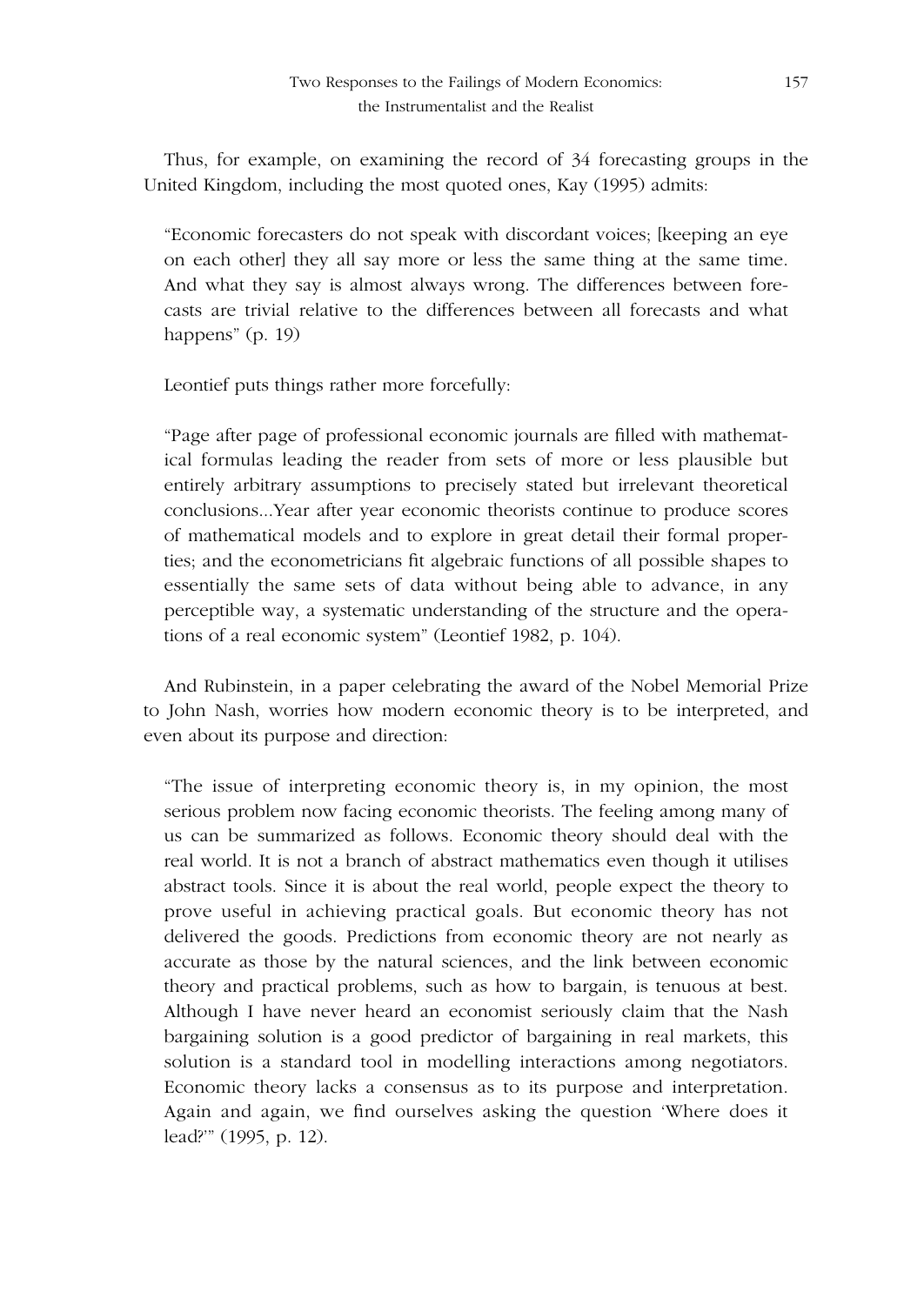Thus, for example, on examining the record of 34 forecasting groups in the United Kingdom, including the most quoted ones, Kay (1995) admits:

"Economic forecasters do not speak with discordant voices; [keeping an eye on each other] they all say more or less the same thing at the same time. And what they say is almost always wrong. The differences between forecasts are trivial relative to the differences between all forecasts and what happens" (p. 19)

Leontief puts things rather more forcefully:

"Page after page of professional economic journals are filled with mathematical formulas leading the reader from sets of more or less plausible but entirely arbitrary assumptions to precisely stated but irrelevant theoretical conclusions...Year after year economic theorists continue to produce scores of mathematical models and to explore in great detail their formal properties; and the econometricians fit algebraic functions of all possible shapes to essentially the same sets of data without being able to advance, in any perceptible way, a systematic understanding of the structure and the operations of a real economic system" (Leontief 1982, p. 104).

And Rubinstein, in a paper celebrating the award of the Nobel Memorial Prize to John Nash, worries how modern economic theory is to be interpreted, and even about its purpose and direction:

"The issue of interpreting economic theory is, in my opinion, the most serious problem now facing economic theorists. The feeling among many of us can be summarized as follows. Economic theory should deal with the real world. It is not a branch of abstract mathematics even though it utilises abstract tools. Since it is about the real world, people expect the theory to prove useful in achieving practical goals. But economic theory has not delivered the goods. Predictions from economic theory are not nearly as accurate as those by the natural sciences, and the link between economic theory and practical problems, such as how to bargain, is tenuous at best. Although I have never heard an economist seriously claim that the Nash bargaining solution is a good predictor of bargaining in real markets, this solution is a standard tool in modelling interactions among negotiators. Economic theory lacks a consensus as to its purpose and interpretation. Again and again, we find ourselves asking the question 'Where does it lead?'" (1995, p. 12).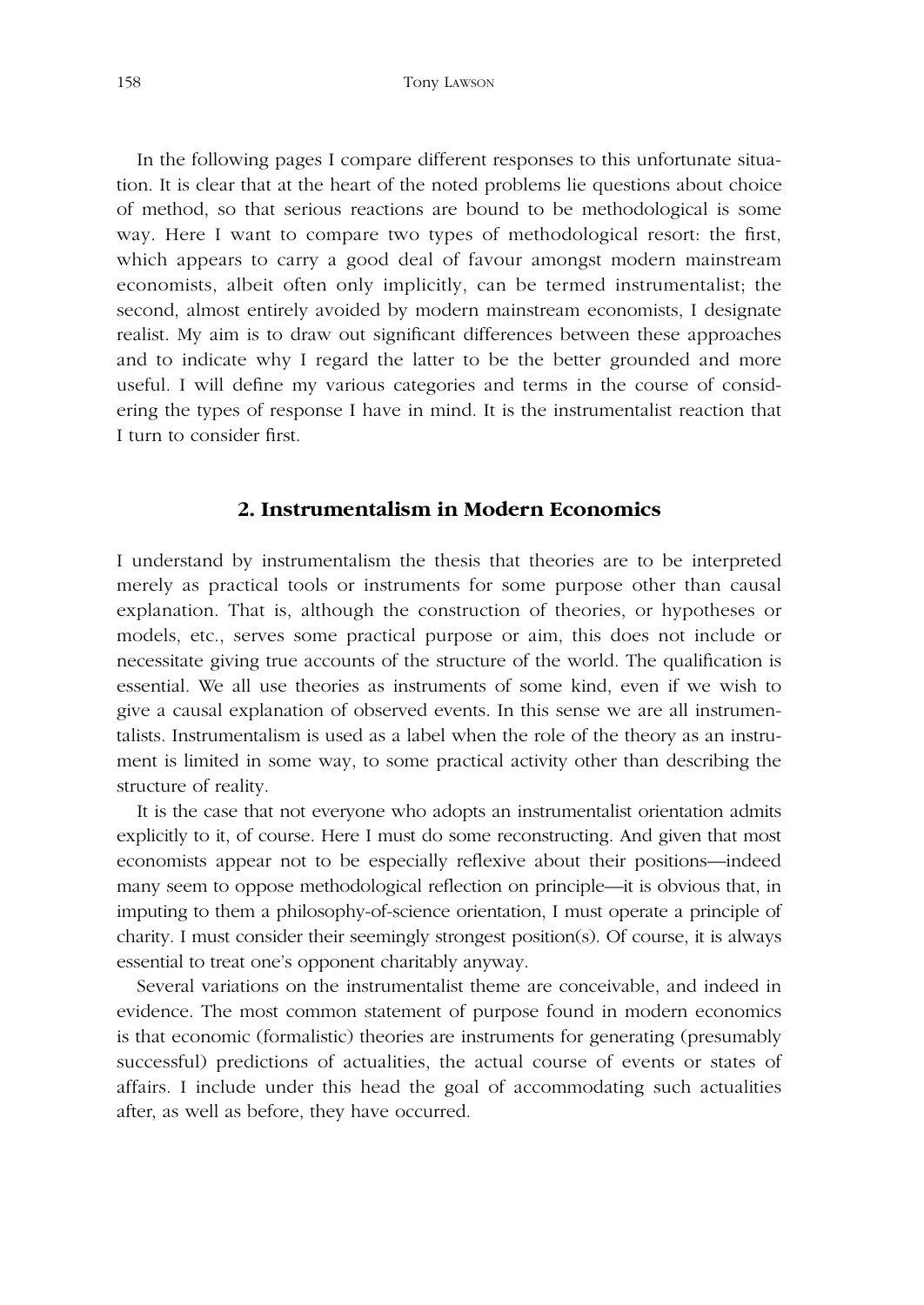In the following pages I compare different responses to this unfortunate situation. It is clear that at the heart of the noted problems lie questions about choice of method, so that serious reactions are bound to be methodological is some way. Here I want to compare two types of methodological resort: the first, which appears to carry a good deal of favour amongst modern mainstream economists, albeit often only implicitly, can be termed instrumentalist; the second, almost entirely avoided by modern mainstream economists, I designate realist. My aim is to draw out significant differences between these approaches and to indicate why I regard the latter to be the better grounded and more useful. I will define my various categories and terms in the course of considering the types of response I have in mind. It is the instrumentalist reaction that I turn to consider first.

## **2. Instrumentalism in Modern Economics**

I understand by instrumentalism the thesis that theories are to be interpreted merely as practical tools or instruments for some purpose other than causal explanation. That is, although the construction of theories, or hypotheses or models, etc., serves some practical purpose or aim, this does not include or necessitate giving true accounts of the structure of the world. The qualification is essential. We all use theories as instruments of some kind, even if we wish to give a causal explanation of observed events. In this sense we are all instrumentalists. Instrumentalism is used as a label when the role of the theory as an instrument is limited in some way, to some practical activity other than describing the structure of reality.

It is the case that not everyone who adopts an instrumentalist orientation admits explicitly to it, of course. Here I must do some reconstructing. And given that most economists appear not to be especially reflexive about their positions—indeed many seem to oppose methodological reflection on principle—it is obvious that, in imputing to them a philosophy-of-science orientation, I must operate a principle of charity. I must consider their seemingly strongest position(s). Of course, it is always essential to treat one's opponent charitably anyway.

Several variations on the instrumentalist theme are conceivable, and indeed in evidence. The most common statement of purpose found in modern economics is that economic (formalistic) theories are instruments for generating (presumably successful) predictions of actualities, the actual course of events or states of affairs. I include under this head the goal of accommodating such actualities after, as well as before, they have occurred.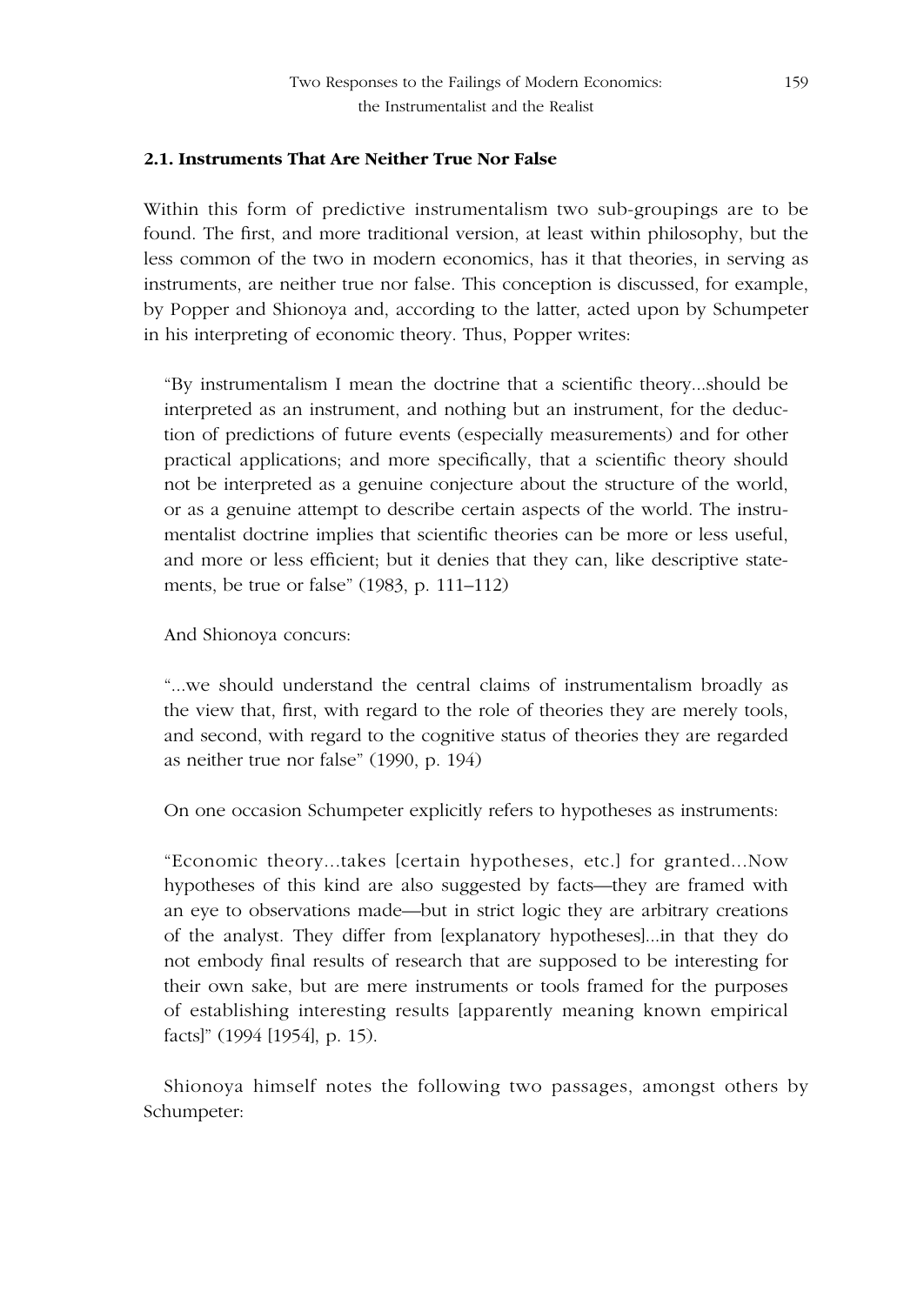## **2.1. Instruments That Are Neither True Nor False**

Within this form of predictive instrumentalism two sub-groupings are to be found. The first, and more traditional version, at least within philosophy, but the less common of the two in modern economics, has it that theories, in serving as instruments, are neither true nor false. This conception is discussed, for example, by Popper and Shionoya and, according to the latter, acted upon by Schumpeter in his interpreting of economic theory. Thus, Popper writes:

"By instrumentalism I mean the doctrine that a scientific theory...should be interpreted as an instrument, and nothing but an instrument, for the deduction of predictions of future events (especially measurements) and for other practical applications; and more specifically, that a scientific theory should not be interpreted as a genuine conjecture about the structure of the world, or as a genuine attempt to describe certain aspects of the world. The instrumentalist doctrine implies that scientific theories can be more or less useful, and more or less efficient; but it denies that they can, like descriptive statements, be true or false" (1983, p. 111–112)

And Shionoya concurs:

"...we should understand the central claims of instrumentalism broadly as the view that, first, with regard to the role of theories they are merely tools, and second, with regard to the cognitive status of theories they are regarded as neither true nor false" (1990, p. 194)

On one occasion Schumpeter explicitly refers to hypotheses as instruments:

"Economic theory...takes [certain hypotheses, etc.] for granted...Now hypotheses of this kind are also suggested by facts—they are framed with an eye to observations made—but in strict logic they are arbitrary creations of the analyst. They differ from [explanatory hypotheses]...in that they do not embody final results of research that are supposed to be interesting for their own sake, but are mere instruments or tools framed for the purposes of establishing interesting results [apparently meaning known empirical facts]" (1994 [1954], p. 15).

Shionoya himself notes the following two passages, amongst others by Schumpeter: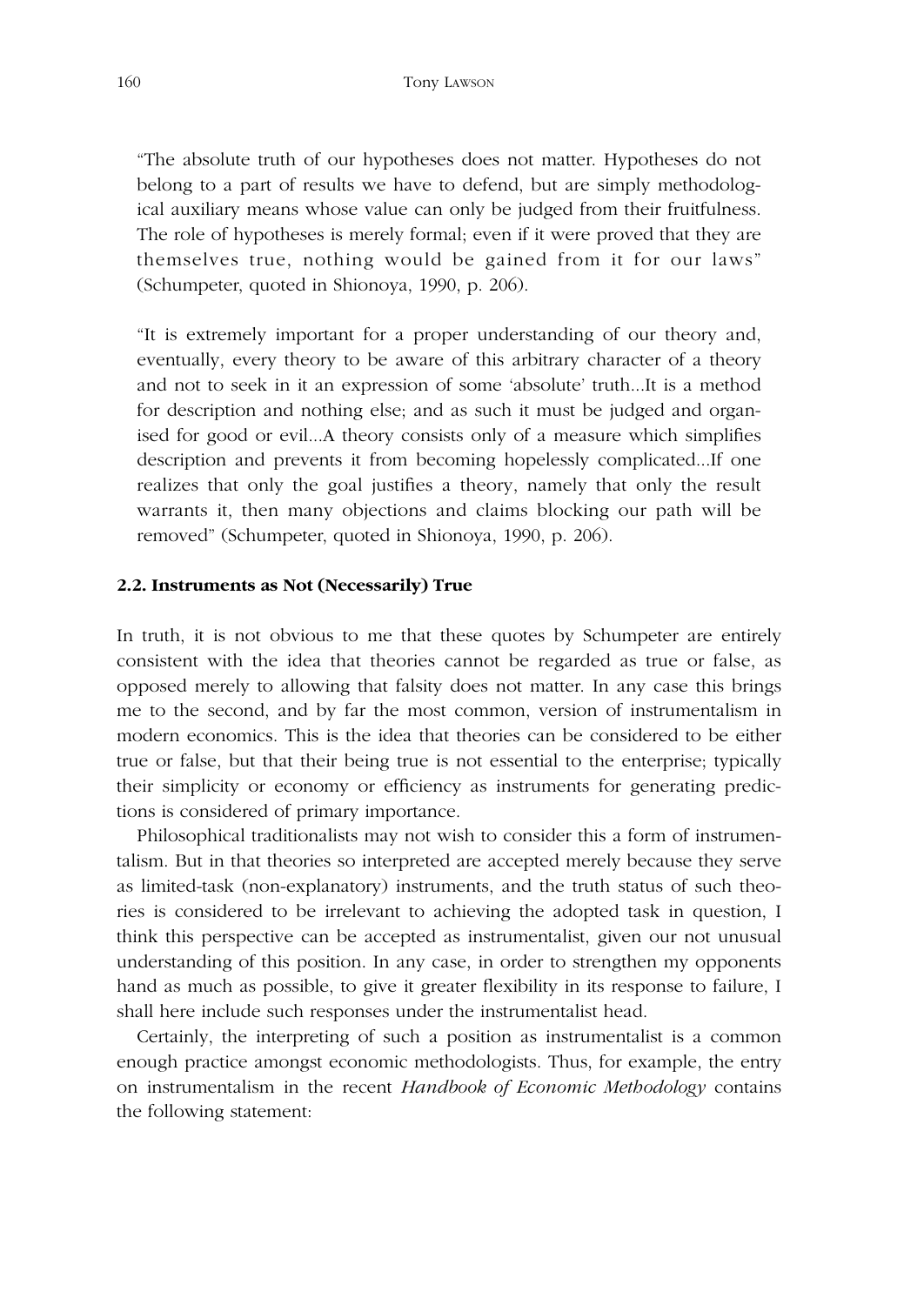"The absolute truth of our hypotheses does not matter. Hypotheses do not belong to a part of results we have to defend, but are simply methodological auxiliary means whose value can only be judged from their fruitfulness. The role of hypotheses is merely formal; even if it were proved that they are themselves true, nothing would be gained from it for our laws" (Schumpeter, quoted in Shionoya, 1990, p. 206).

"It is extremely important for a proper understanding of our theory and, eventually, every theory to be aware of this arbitrary character of a theory and not to seek in it an expression of some 'absolute' truth...It is a method for description and nothing else; and as such it must be judged and organised for good or evil...A theory consists only of a measure which simplifies description and prevents it from becoming hopelessly complicated...If one realizes that only the goal justifies a theory, namely that only the result warrants it, then many objections and claims blocking our path will be removed" (Schumpeter, quoted in Shionoya, 1990, p. 206).

#### **2.2. Instruments as Not (Necessarily) True**

In truth, it is not obvious to me that these quotes by Schumpeter are entirely consistent with the idea that theories cannot be regarded as true or false, as opposed merely to allowing that falsity does not matter. In any case this brings me to the second, and by far the most common, version of instrumentalism in modern economics. This is the idea that theories can be considered to be either true or false, but that their being true is not essential to the enterprise; typically their simplicity or economy or efficiency as instruments for generating predictions is considered of primary importance.

Philosophical traditionalists may not wish to consider this a form of instrumentalism. But in that theories so interpreted are accepted merely because they serve as limited-task (non-explanatory) instruments, and the truth status of such theories is considered to be irrelevant to achieving the adopted task in question, I think this perspective can be accepted as instrumentalist, given our not unusual understanding of this position. In any case, in order to strengthen my opponents hand as much as possible, to give it greater flexibility in its response to failure, I shall here include such responses under the instrumentalist head.

Certainly, the interpreting of such a position as instrumentalist is a common enough practice amongst economic methodologists. Thus, for example, the entry on instrumentalism in the recent *Handbook of Economic Methodology* contains the following statement: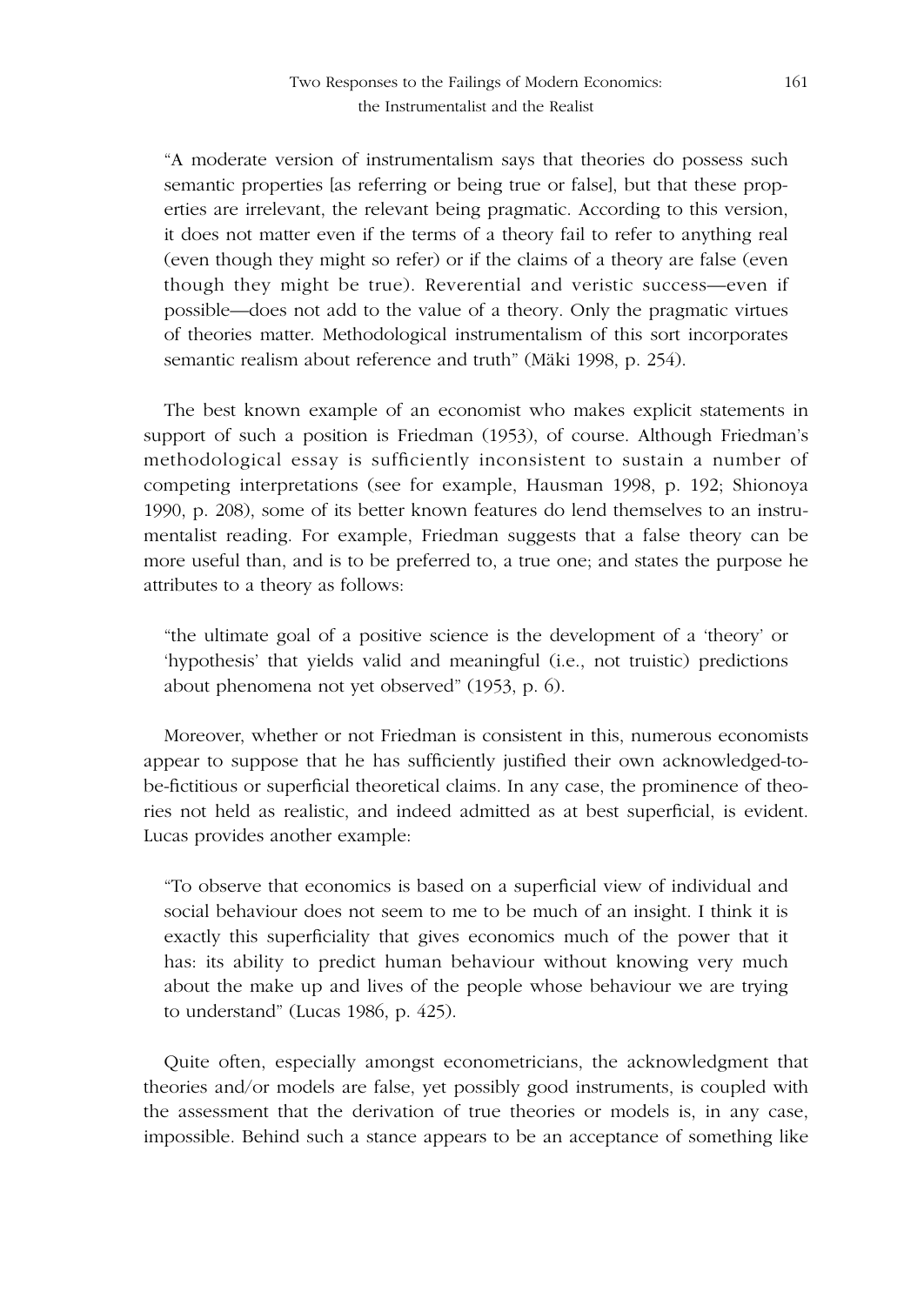"A moderate version of instrumentalism says that theories do possess such semantic properties [as referring or being true or false], but that these properties are irrelevant, the relevant being pragmatic. According to this version, it does not matter even if the terms of a theory fail to refer to anything real (even though they might so refer) or if the claims of a theory are false (even though they might be true). Reverential and veristic success—even if possible—does not add to the value of a theory. Only the pragmatic virtues of theories matter. Methodological instrumentalism of this sort incorporates semantic realism about reference and truth" (Mäki 1998, p. 254).

The best known example of an economist who makes explicit statements in support of such a position is Friedman (1953), of course. Although Friedman's methodological essay is sufficiently inconsistent to sustain a number of competing interpretations (see for example, Hausman 1998, p. 192; Shionoya 1990, p. 208), some of its better known features do lend themselves to an instrumentalist reading. For example, Friedman suggests that a false theory can be more useful than, and is to be preferred to, a true one; and states the purpose he attributes to a theory as follows:

"the ultimate goal of a positive science is the development of a 'theory' or 'hypothesis' that yields valid and meaningful (i.e., not truistic) predictions about phenomena not yet observed" (1953, p. 6).

Moreover, whether or not Friedman is consistent in this, numerous economists appear to suppose that he has sufficiently justified their own acknowledged-tobe-fictitious or superficial theoretical claims. In any case, the prominence of theories not held as realistic, and indeed admitted as at best superficial, is evident. Lucas provides another example:

"To observe that economics is based on a superficial view of individual and social behaviour does not seem to me to be much of an insight. I think it is exactly this superficiality that gives economics much of the power that it has: its ability to predict human behaviour without knowing very much about the make up and lives of the people whose behaviour we are trying to understand" (Lucas 1986, p. 425).

Quite often, especially amongst econometricians, the acknowledgment that theories and/or models are false, yet possibly good instruments, is coupled with the assessment that the derivation of true theories or models is, in any case, impossible. Behind such a stance appears to be an acceptance of something like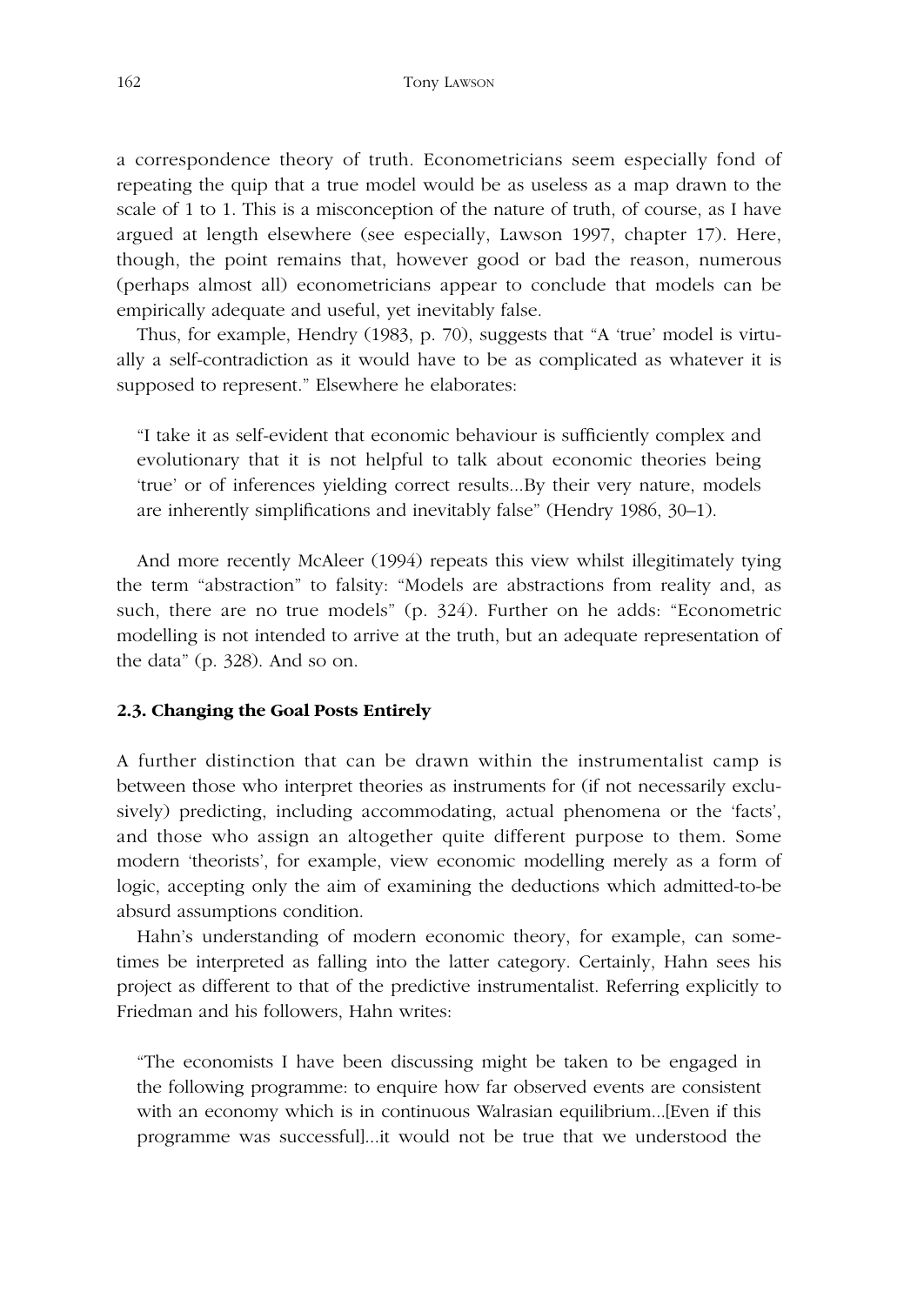a correspondence theory of truth. Econometricians seem especially fond of repeating the quip that a true model would be as useless as a map drawn to the scale of 1 to 1. This is a misconception of the nature of truth, of course, as I have argued at length elsewhere (see especially, Lawson 1997, chapter 17). Here, though, the point remains that, however good or bad the reason, numerous (perhaps almost all) econometricians appear to conclude that models can be empirically adequate and useful, yet inevitably false.

Thus, for example, Hendry (1983, p. 70), suggests that "A 'true' model is virtually a self-contradiction as it would have to be as complicated as whatever it is supposed to represent." Elsewhere he elaborates:

"I take it as self-evident that economic behaviour is sufficiently complex and evolutionary that it is not helpful to talk about economic theories being 'true' or of inferences yielding correct results...By their very nature, models are inherently simplifications and inevitably false" (Hendry 1986, 30–1).

And more recently McAleer (1994) repeats this view whilst illegitimately tying the term "abstraction" to falsity: "Models are abstractions from reality and, as such, there are no true models" (p. 324). Further on he adds: "Econometric modelling is not intended to arrive at the truth, but an adequate representation of the data" (p. 328). And so on.

## **2.3. Changing the Goal Posts Entirely**

A further distinction that can be drawn within the instrumentalist camp is between those who interpret theories as instruments for (if not necessarily exclusively) predicting, including accommodating, actual phenomena or the 'facts', and those who assign an altogether quite different purpose to them. Some modern 'theorists', for example, view economic modelling merely as a form of logic, accepting only the aim of examining the deductions which admitted-to-be absurd assumptions condition.

Hahn's understanding of modern economic theory, for example, can sometimes be interpreted as falling into the latter category. Certainly, Hahn sees his project as different to that of the predictive instrumentalist. Referring explicitly to Friedman and his followers, Hahn writes:

"The economists I have been discussing might be taken to be engaged in the following programme: to enquire how far observed events are consistent with an economy which is in continuous Walrasian equilibrium...[Even if this programme was successful]...it would not be true that we understood the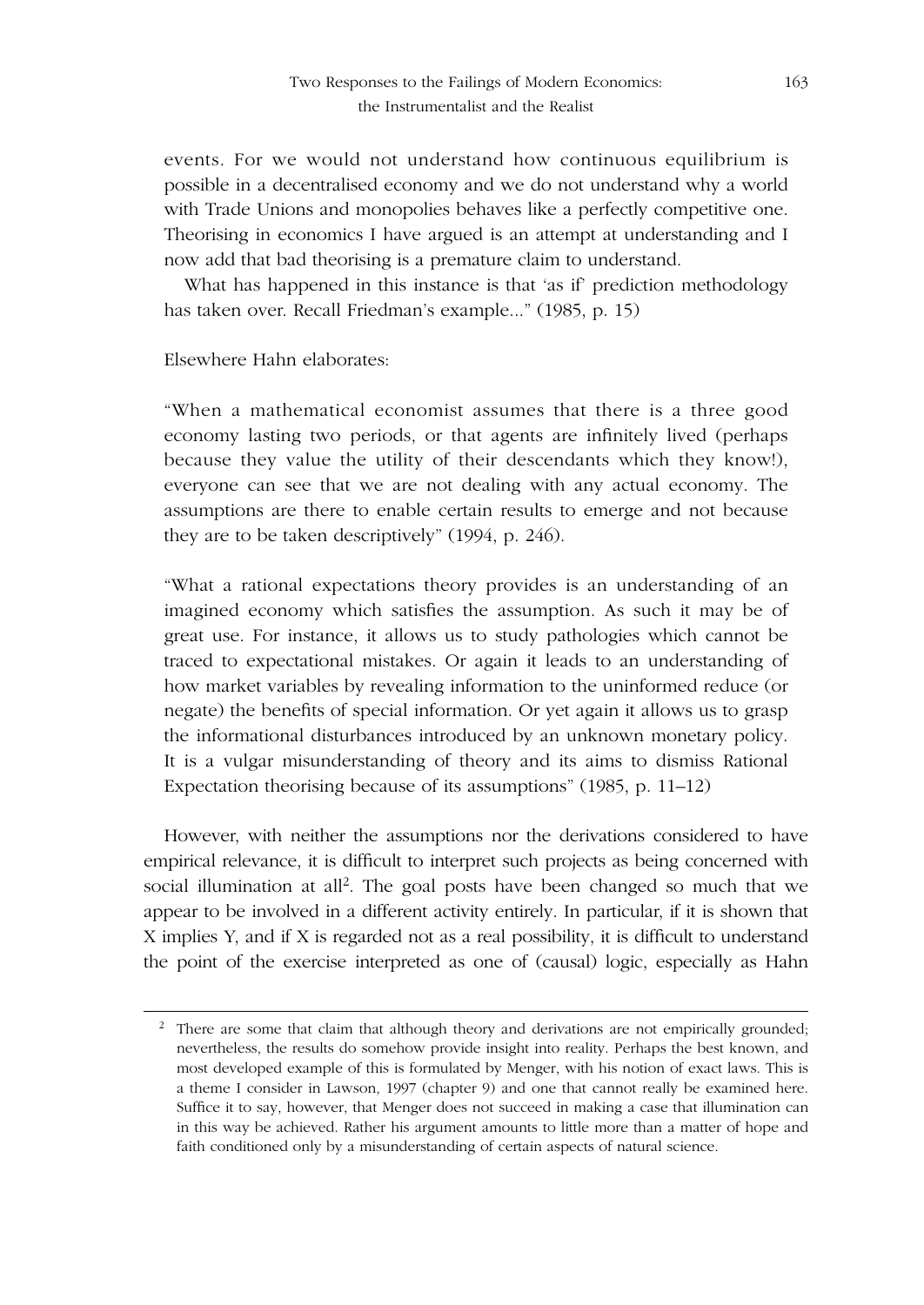events. For we would not understand how continuous equilibrium is possible in a decentralised economy and we do not understand why a world with Trade Unions and monopolies behaves like a perfectly competitive one. Theorising in economics I have argued is an attempt at understanding and I now add that bad theorising is a premature claim to understand.

What has happened in this instance is that 'as if' prediction methodology has taken over. Recall Friedman's example..." (1985, p. 15)

Elsewhere Hahn elaborates:

"When a mathematical economist assumes that there is a three good economy lasting two periods, or that agents are infinitely lived (perhaps because they value the utility of their descendants which they know!), everyone can see that we are not dealing with any actual economy. The assumptions are there to enable certain results to emerge and not because they are to be taken descriptively" (1994, p. 246).

"What a rational expectations theory provides is an understanding of an imagined economy which satisfies the assumption. As such it may be of great use. For instance, it allows us to study pathologies which cannot be traced to expectational mistakes. Or again it leads to an understanding of how market variables by revealing information to the uninformed reduce (or negate) the benefits of special information. Or yet again it allows us to grasp the informational disturbances introduced by an unknown monetary policy. It is a vulgar misunderstanding of theory and its aims to dismiss Rational Expectation theorising because of its assumptions" (1985, p. 11–12)

However, with neither the assumptions nor the derivations considered to have empirical relevance, it is difficult to interpret such projects as being concerned with social illumination at all<sup>2</sup>. The goal posts have been changed so much that we appear to be involved in a different activity entirely. In particular, if it is shown that X implies Y, and if X is regarded not as a real possibility, it is difficult to understand the point of the exercise interpreted as one of (causal) logic, especially as Hahn

<sup>&</sup>lt;sup>2</sup> There are some that claim that although theory and derivations are not empirically grounded; nevertheless, the results do somehow provide insight into reality. Perhaps the best known, and most developed example of this is formulated by Menger, with his notion of exact laws. This is a theme I consider in Lawson, 1997 (chapter 9) and one that cannot really be examined here. Suffice it to say, however, that Menger does not succeed in making a case that illumination can in this way be achieved. Rather his argument amounts to little more than a matter of hope and faith conditioned only by a misunderstanding of certain aspects of natural science.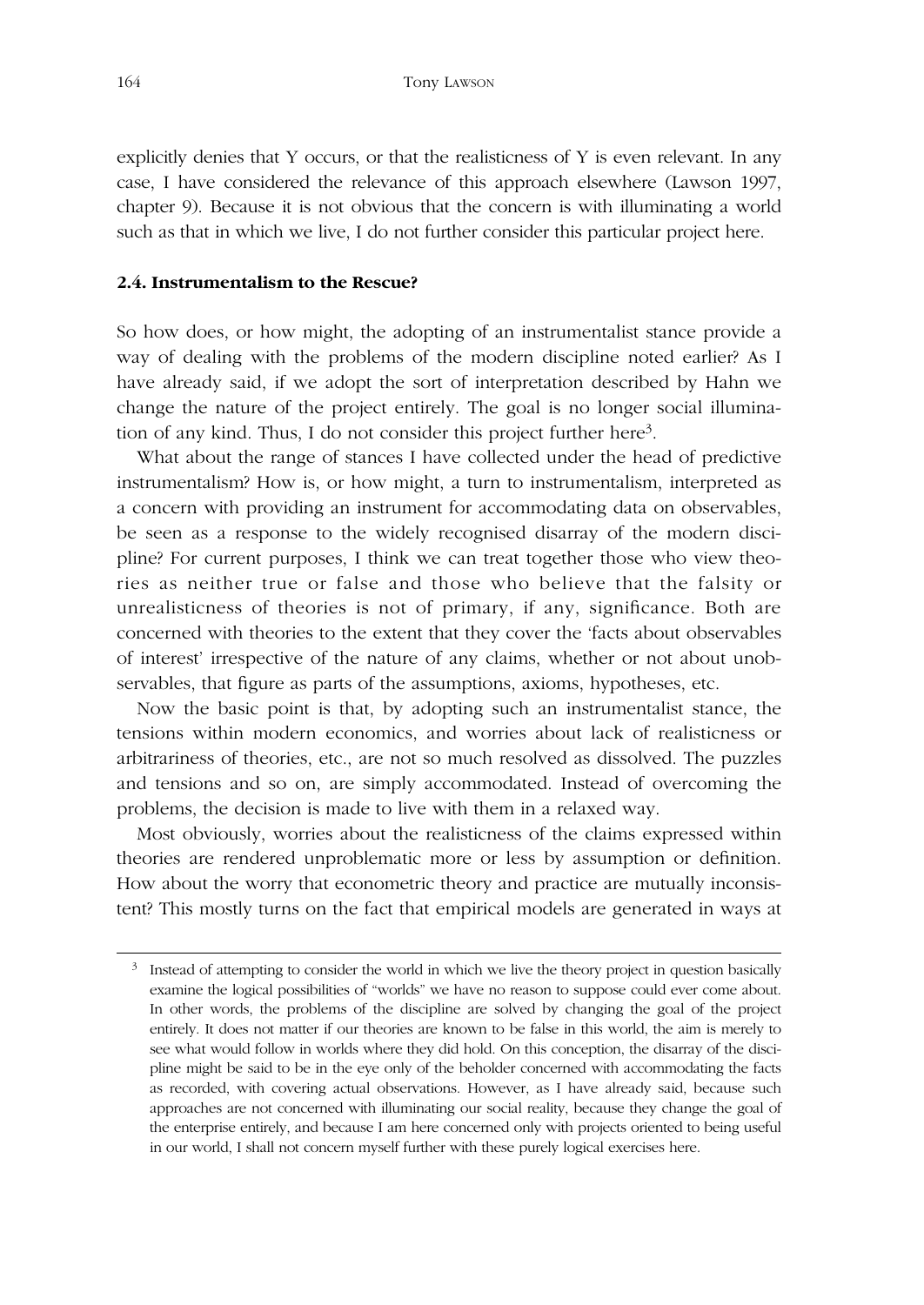explicitly denies that Y occurs, or that the realisticness of Y is even relevant. In any case, I have considered the relevance of this approach elsewhere (Lawson 1997, chapter 9). Because it is not obvious that the concern is with illuminating a world such as that in which we live, I do not further consider this particular project here.

#### **2.4. Instrumentalism to the Rescue?**

So how does, or how might, the adopting of an instrumentalist stance provide a way of dealing with the problems of the modern discipline noted earlier? As I have already said, if we adopt the sort of interpretation described by Hahn we change the nature of the project entirely. The goal is no longer social illumination of any kind. Thus, I do not consider this project further here<sup>3</sup>.

What about the range of stances I have collected under the head of predictive instrumentalism? How is, or how might, a turn to instrumentalism, interpreted as a concern with providing an instrument for accommodating data on observables, be seen as a response to the widely recognised disarray of the modern discipline? For current purposes, I think we can treat together those who view theories as neither true or false and those who believe that the falsity or unrealisticness of theories is not of primary, if any, significance. Both are concerned with theories to the extent that they cover the 'facts about observables of interest' irrespective of the nature of any claims, whether or not about unobservables, that figure as parts of the assumptions, axioms, hypotheses, etc.

Now the basic point is that, by adopting such an instrumentalist stance, the tensions within modern economics, and worries about lack of realisticness or arbitrariness of theories, etc., are not so much resolved as dissolved. The puzzles and tensions and so on, are simply accommodated. Instead of overcoming the problems, the decision is made to live with them in a relaxed way.

Most obviously, worries about the realisticness of the claims expressed within theories are rendered unproblematic more or less by assumption or definition. How about the worry that econometric theory and practice are mutually inconsistent? This mostly turns on the fact that empirical models are generated in ways at

<sup>&</sup>lt;sup>3</sup> Instead of attempting to consider the world in which we live the theory project in question basically examine the logical possibilities of "worlds" we have no reason to suppose could ever come about. In other words, the problems of the discipline are solved by changing the goal of the project entirely. It does not matter if our theories are known to be false in this world, the aim is merely to see what would follow in worlds where they did hold. On this conception, the disarray of the discipline might be said to be in the eye only of the beholder concerned with accommodating the facts as recorded, with covering actual observations. However, as I have already said, because such approaches are not concerned with illuminating our social reality, because they change the goal of the enterprise entirely, and because I am here concerned only with projects oriented to being useful in our world, I shall not concern myself further with these purely logical exercises here.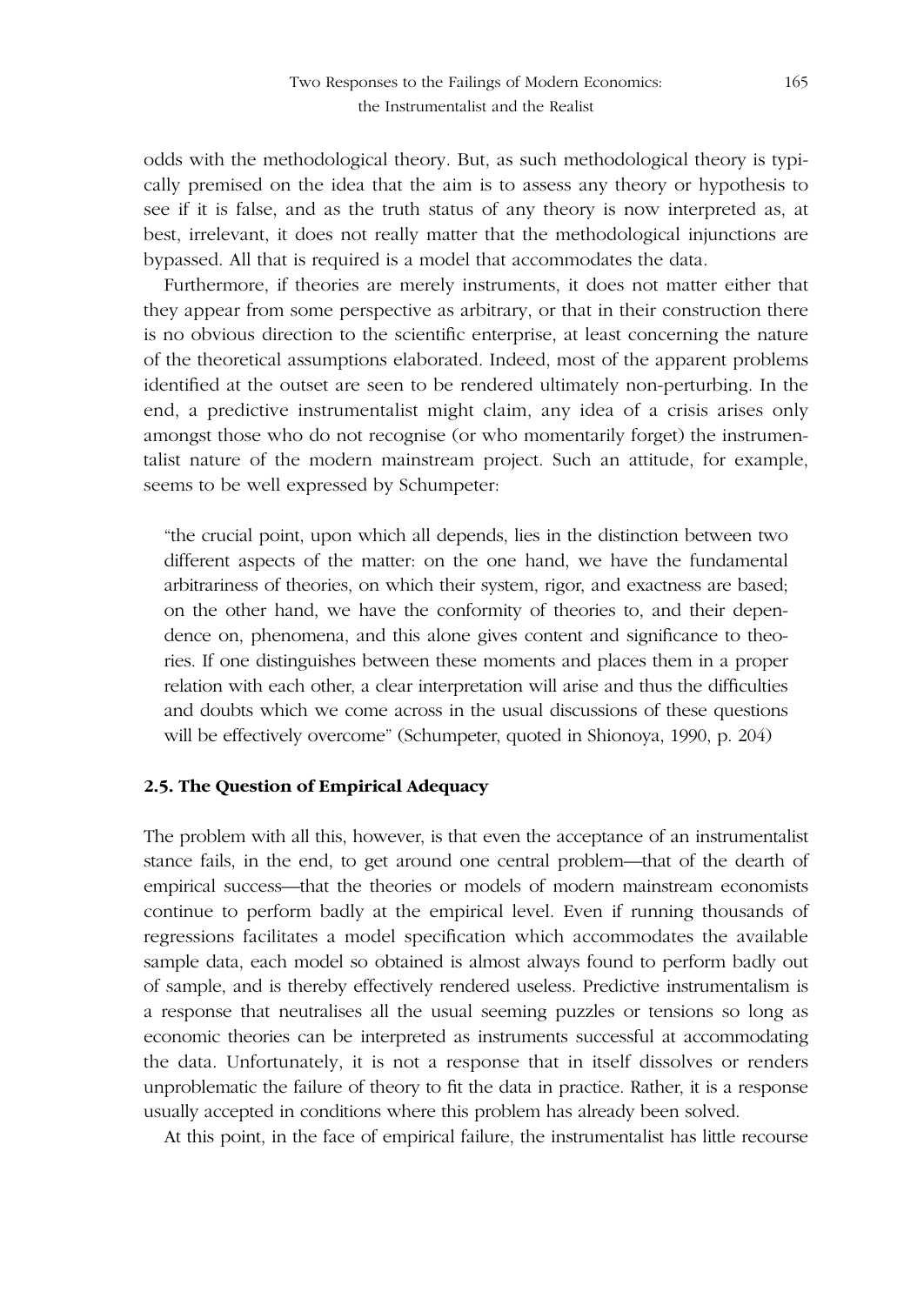odds with the methodological theory. But, as such methodological theory is typically premised on the idea that the aim is to assess any theory or hypothesis to see if it is false, and as the truth status of any theory is now interpreted as, at best, irrelevant, it does not really matter that the methodological injunctions are bypassed. All that is required is a model that accommodates the data.

Furthermore, if theories are merely instruments, it does not matter either that they appear from some perspective as arbitrary, or that in their construction there is no obvious direction to the scientific enterprise, at least concerning the nature of the theoretical assumptions elaborated. Indeed, most of the apparent problems identified at the outset are seen to be rendered ultimately non-perturbing. In the end, a predictive instrumentalist might claim, any idea of a crisis arises only amongst those who do not recognise (or who momentarily forget) the instrumentalist nature of the modern mainstream project. Such an attitude, for example, seems to be well expressed by Schumpeter:

"the crucial point, upon which all depends, lies in the distinction between two different aspects of the matter: on the one hand, we have the fundamental arbitrariness of theories, on which their system, rigor, and exactness are based; on the other hand, we have the conformity of theories to, and their dependence on, phenomena, and this alone gives content and significance to theories. If one distinguishes between these moments and places them in a proper relation with each other, a clear interpretation will arise and thus the difficulties and doubts which we come across in the usual discussions of these questions will be effectively overcome" (Schumpeter, quoted in Shionoya, 1990, p. 204)

## **2.5. The Question of Empirical Adequacy**

The problem with all this, however, is that even the acceptance of an instrumentalist stance fails, in the end, to get around one central problem—that of the dearth of empirical success—that the theories or models of modern mainstream economists continue to perform badly at the empirical level. Even if running thousands of regressions facilitates a model specification which accommodates the available sample data, each model so obtained is almost always found to perform badly out of sample, and is thereby effectively rendered useless. Predictive instrumentalism is a response that neutralises all the usual seeming puzzles or tensions so long as economic theories can be interpreted as instruments successful at accommodating the data. Unfortunately, it is not a response that in itself dissolves or renders unproblematic the failure of theory to fit the data in practice. Rather, it is a response usually accepted in conditions where this problem has already been solved.

At this point, in the face of empirical failure, the instrumentalist has little recourse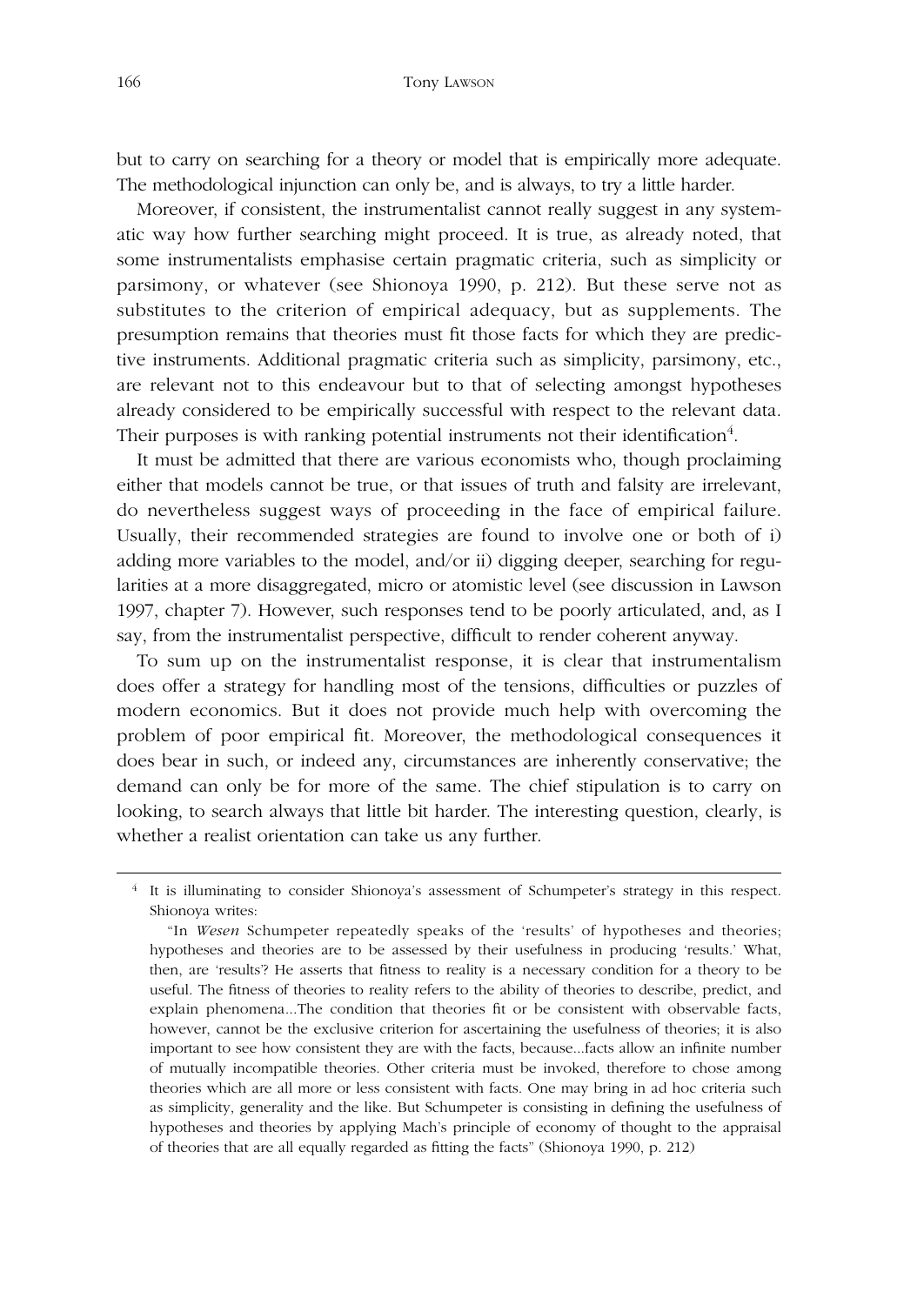but to carry on searching for a theory or model that is empirically more adequate. The methodological injunction can only be, and is always, to try a little harder.

Moreover, if consistent, the instrumentalist cannot really suggest in any systematic way how further searching might proceed. It is true, as already noted, that some instrumentalists emphasise certain pragmatic criteria, such as simplicity or parsimony, or whatever (see Shionoya 1990, p. 212). But these serve not as substitutes to the criterion of empirical adequacy, but as supplements. The presumption remains that theories must fit those facts for which they are predictive instruments. Additional pragmatic criteria such as simplicity, parsimony, etc., are relevant not to this endeavour but to that of selecting amongst hypotheses already considered to be empirically successful with respect to the relevant data. Their purposes is with ranking potential instruments not their identification<sup>4</sup>.

It must be admitted that there are various economists who, though proclaiming either that models cannot be true, or that issues of truth and falsity are irrelevant, do nevertheless suggest ways of proceeding in the face of empirical failure. Usually, their recommended strategies are found to involve one or both of i) adding more variables to the model, and/or ii) digging deeper, searching for regularities at a more disaggregated, micro or atomistic level (see discussion in Lawson 1997, chapter 7). However, such responses tend to be poorly articulated, and, as I say, from the instrumentalist perspective, difficult to render coherent anyway.

To sum up on the instrumentalist response, it is clear that instrumentalism does offer a strategy for handling most of the tensions, difficulties or puzzles of modern economics. But it does not provide much help with overcoming the problem of poor empirical fit. Moreover, the methodological consequences it does bear in such, or indeed any, circumstances are inherently conservative; the demand can only be for more of the same. The chief stipulation is to carry on looking, to search always that little bit harder. The interesting question, clearly, is whether a realist orientation can take us any further.

<sup>4</sup> It is illuminating to consider Shionoya's assessment of Schumpeter's strategy in this respect. Shionoya writes:

<sup>&</sup>quot;In *Wesen* Schumpeter repeatedly speaks of the 'results' of hypotheses and theories; hypotheses and theories are to be assessed by their usefulness in producing 'results.' What, then, are 'results'? He asserts that fitness to reality is a necessary condition for a theory to be useful. The fitness of theories to reality refers to the ability of theories to describe, predict, and explain phenomena...The condition that theories fit or be consistent with observable facts, however, cannot be the exclusive criterion for ascertaining the usefulness of theories; it is also important to see how consistent they are with the facts, because...facts allow an infinite number of mutually incompatible theories. Other criteria must be invoked, therefore to chose among theories which are all more or less consistent with facts. One may bring in ad hoc criteria such as simplicity, generality and the like. But Schumpeter is consisting in defining the usefulness of hypotheses and theories by applying Mach's principle of economy of thought to the appraisal of theories that are all equally regarded as fitting the facts" (Shionoya 1990, p. 212)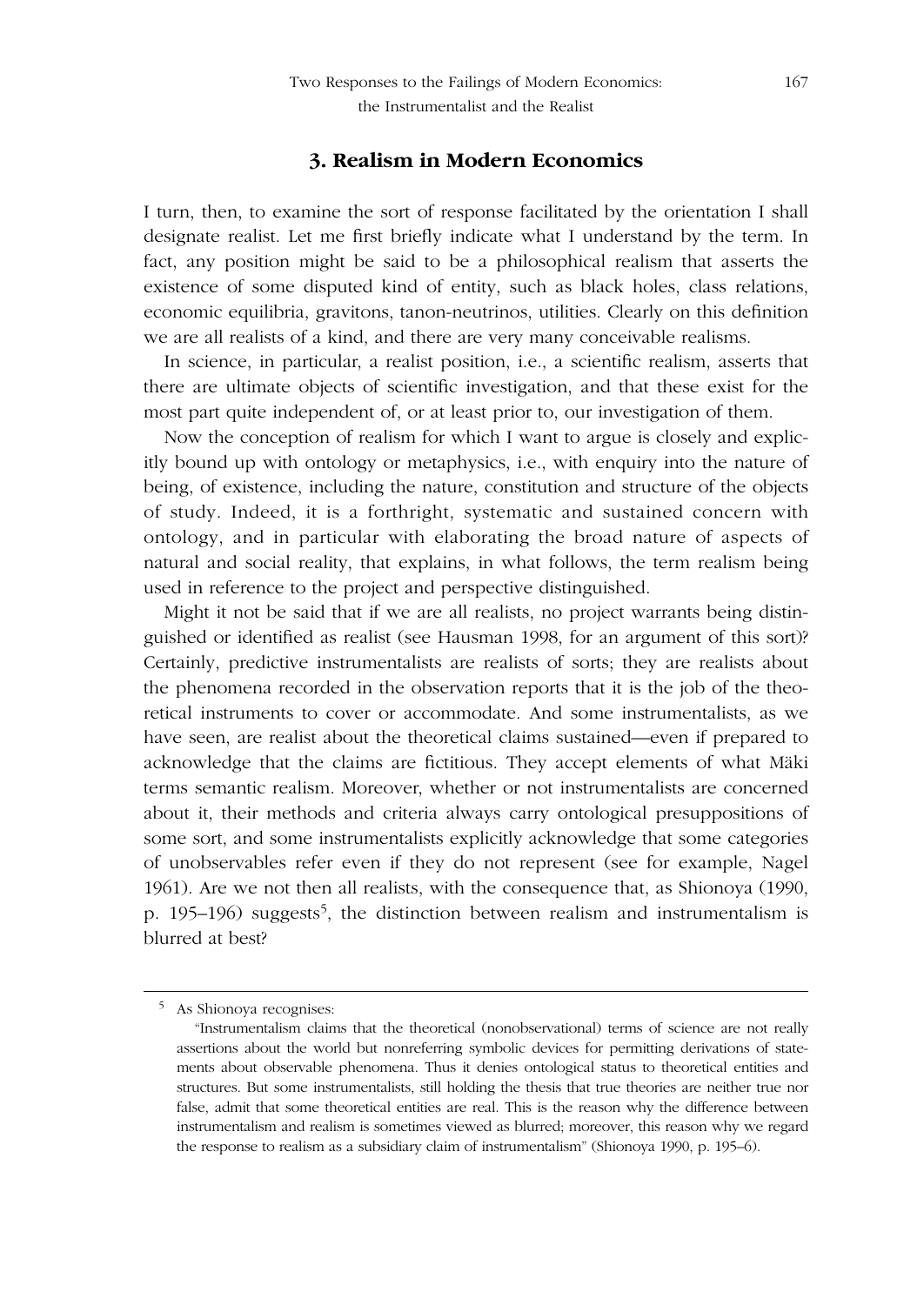## **3. Realism in Modern Economics**

I turn, then, to examine the sort of response facilitated by the orientation I shall designate realist. Let me first briefly indicate what I understand by the term. In fact, any position might be said to be a philosophical realism that asserts the existence of some disputed kind of entity, such as black holes, class relations, economic equilibria, gravitons, tanon-neutrinos, utilities. Clearly on this definition we are all realists of a kind, and there are very many conceivable realisms.

In science, in particular, a realist position, i.e., a scientific realism, asserts that there are ultimate objects of scientific investigation, and that these exist for the most part quite independent of, or at least prior to, our investigation of them.

Now the conception of realism for which I want to argue is closely and explicitly bound up with ontology or metaphysics, i.e., with enquiry into the nature of being, of existence, including the nature, constitution and structure of the objects of study. Indeed, it is a forthright, systematic and sustained concern with ontology, and in particular with elaborating the broad nature of aspects of natural and social reality, that explains, in what follows, the term realism being used in reference to the project and perspective distinguished.

Might it not be said that if we are all realists, no project warrants being distinguished or identified as realist (see Hausman 1998, for an argument of this sort)? Certainly, predictive instrumentalists are realists of sorts; they are realists about the phenomena recorded in the observation reports that it is the job of the theoretical instruments to cover or accommodate. And some instrumentalists, as we have seen, are realist about the theoretical claims sustained—even if prepared to acknowledge that the claims are fictitious. They accept elements of what Mäki terms semantic realism. Moreover, whether or not instrumentalists are concerned about it, their methods and criteria always carry ontological presuppositions of some sort, and some instrumentalists explicitly acknowledge that some categories of unobservables refer even if they do not represent (see for example, Nagel 1961). Are we not then all realists, with the consequence that, as Shionoya (1990, p. 195–196) suggests<sup>5</sup>, the distinction between realism and instrumentalism is blurred at best?

<sup>5</sup> As Shionoya recognises:

<sup>&</sup>quot;Instrumentalism claims that the theoretical (nonobservational) terms of science are not really assertions about the world but nonreferring symbolic devices for permitting derivations of statements about observable phenomena. Thus it denies ontological status to theoretical entities and structures. But some instrumentalists, still holding the thesis that true theories are neither true nor false, admit that some theoretical entities are real. This is the reason why the difference between instrumentalism and realism is sometimes viewed as blurred; moreover, this reason why we regard the response to realism as a subsidiary claim of instrumentalism" (Shionoya 1990, p. 195–6).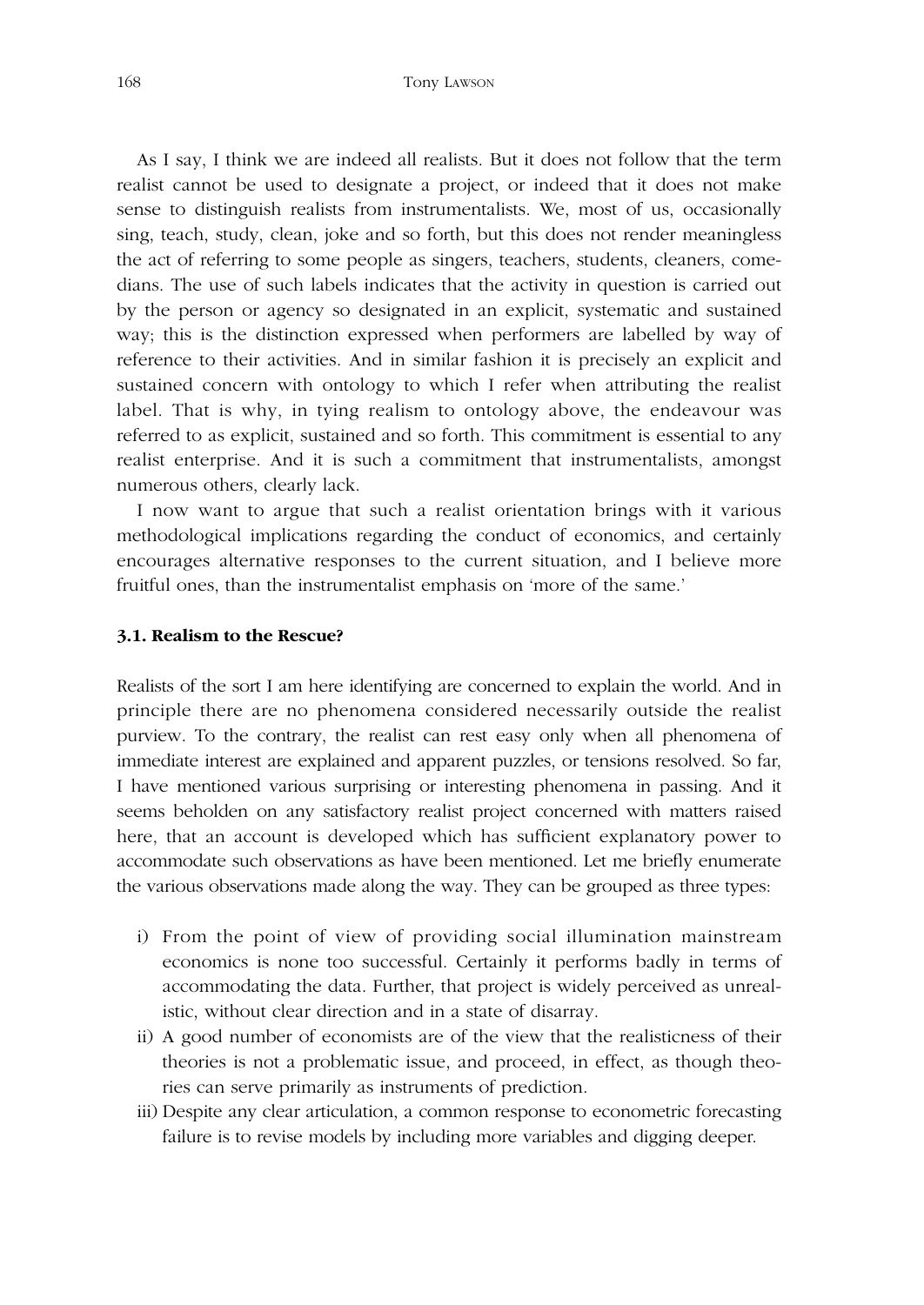As I say, I think we are indeed all realists. But it does not follow that the term realist cannot be used to designate a project, or indeed that it does not make sense to distinguish realists from instrumentalists. We, most of us, occasionally sing, teach, study, clean, joke and so forth, but this does not render meaningless the act of referring to some people as singers, teachers, students, cleaners, comedians. The use of such labels indicates that the activity in question is carried out by the person or agency so designated in an explicit, systematic and sustained way; this is the distinction expressed when performers are labelled by way of reference to their activities. And in similar fashion it is precisely an explicit and sustained concern with ontology to which I refer when attributing the realist label. That is why, in tying realism to ontology above, the endeavour was referred to as explicit, sustained and so forth. This commitment is essential to any realist enterprise. And it is such a commitment that instrumentalists, amongst numerous others, clearly lack.

I now want to argue that such a realist orientation brings with it various methodological implications regarding the conduct of economics, and certainly encourages alternative responses to the current situation, and I believe more fruitful ones, than the instrumentalist emphasis on 'more of the same.'

## **3.1. Realism to the Rescue?**

Realists of the sort I am here identifying are concerned to explain the world. And in principle there are no phenomena considered necessarily outside the realist purview. To the contrary, the realist can rest easy only when all phenomena of immediate interest are explained and apparent puzzles, or tensions resolved. So far, I have mentioned various surprising or interesting phenomena in passing. And it seems beholden on any satisfactory realist project concerned with matters raised here, that an account is developed which has sufficient explanatory power to accommodate such observations as have been mentioned. Let me briefly enumerate the various observations made along the way. They can be grouped as three types:

- i) From the point of view of providing social illumination mainstream economics is none too successful. Certainly it performs badly in terms of accommodating the data. Further, that project is widely perceived as unrealistic, without clear direction and in a state of disarray.
- ii) A good number of economists are of the view that the realisticness of their theories is not a problematic issue, and proceed, in effect, as though theories can serve primarily as instruments of prediction.
- iii) Despite any clear articulation, a common response to econometric forecasting failure is to revise models by including more variables and digging deeper.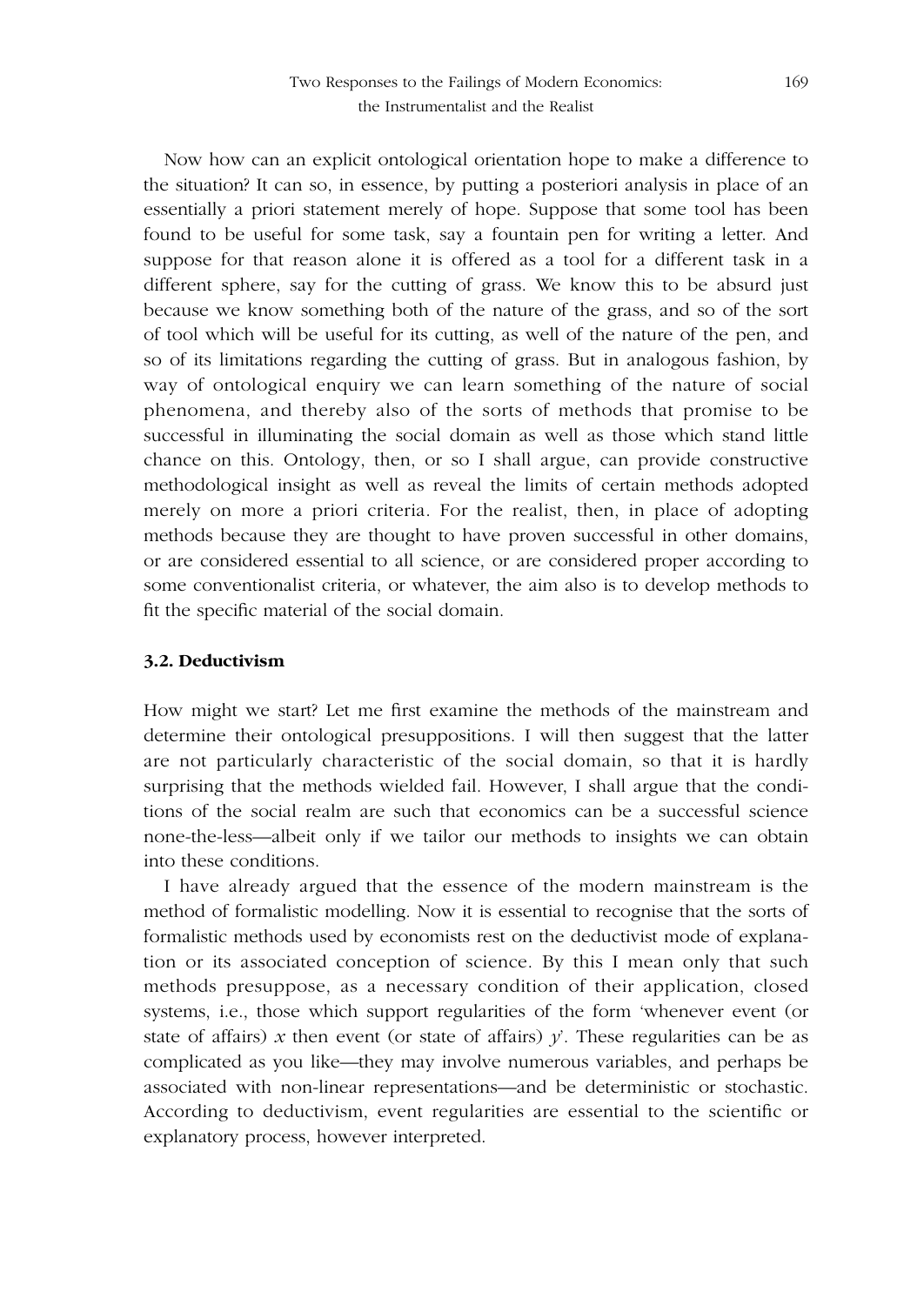Now how can an explicit ontological orientation hope to make a difference to the situation? It can so, in essence, by putting a posteriori analysis in place of an essentially a priori statement merely of hope. Suppose that some tool has been found to be useful for some task, say a fountain pen for writing a letter. And suppose for that reason alone it is offered as a tool for a different task in a different sphere, say for the cutting of grass. We know this to be absurd just because we know something both of the nature of the grass, and so of the sort of tool which will be useful for its cutting, as well of the nature of the pen, and so of its limitations regarding the cutting of grass. But in analogous fashion, by way of ontological enquiry we can learn something of the nature of social phenomena, and thereby also of the sorts of methods that promise to be successful in illuminating the social domain as well as those which stand little chance on this. Ontology, then, or so I shall argue, can provide constructive methodological insight as well as reveal the limits of certain methods adopted merely on more a priori criteria. For the realist, then, in place of adopting methods because they are thought to have proven successful in other domains, or are considered essential to all science, or are considered proper according to some conventionalist criteria, or whatever, the aim also is to develop methods to fit the specific material of the social domain.

## **3.2. Deductivism**

How might we start? Let me first examine the methods of the mainstream and determine their ontological presuppositions. I will then suggest that the latter are not particularly characteristic of the social domain, so that it is hardly surprising that the methods wielded fail. However, I shall argue that the conditions of the social realm are such that economics can be a successful science none-the-less—albeit only if we tailor our methods to insights we can obtain into these conditions.

I have already argued that the essence of the modern mainstream is the method of formalistic modelling. Now it is essential to recognise that the sorts of formalistic methods used by economists rest on the deductivist mode of explanation or its associated conception of science. By this I mean only that such methods presuppose, as a necessary condition of their application, closed systems, i.e., those which support regularities of the form 'whenever event (or state of affairs)  $x$  then event (or state of affairs)  $y'$ . These regularities can be as complicated as you like—they may involve numerous variables, and perhaps be associated with non-linear representations—and be deterministic or stochastic. According to deductivism, event regularities are essential to the scientific or explanatory process, however interpreted.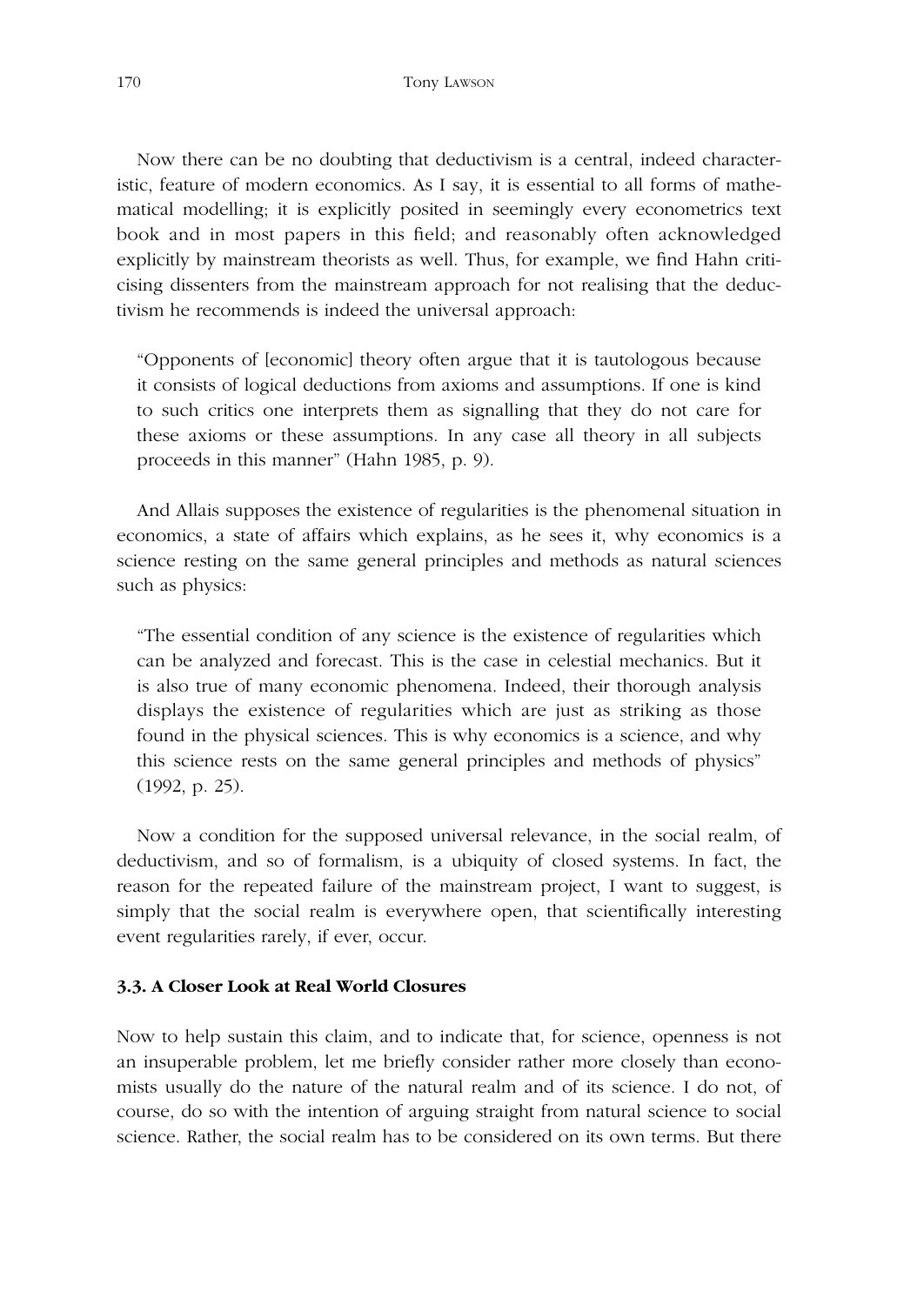Now there can be no doubting that deductivism is a central, indeed characteristic, feature of modern economics. As I say, it is essential to all forms of mathematical modelling; it is explicitly posited in seemingly every econometrics text book and in most papers in this field; and reasonably often acknowledged explicitly by mainstream theorists as well. Thus, for example, we find Hahn criticising dissenters from the mainstream approach for not realising that the deductivism he recommends is indeed the universal approach:

"Opponents of [economic] theory often argue that it is tautologous because it consists of logical deductions from axioms and assumptions. If one is kind to such critics one interprets them as signalling that they do not care for these axioms or these assumptions. In any case all theory in all subjects proceeds in this manner" (Hahn 1985, p. 9).

And Allais supposes the existence of regularities is the phenomenal situation in economics, a state of affairs which explains, as he sees it, why economics is a science resting on the same general principles and methods as natural sciences such as physics:

"The essential condition of any science is the existence of regularities which can be analyzed and forecast. This is the case in celestial mechanics. But it is also true of many economic phenomena. Indeed, their thorough analysis displays the existence of regularities which are just as striking as those found in the physical sciences. This is why economics is a science, and why this science rests on the same general principles and methods of physics" (1992, p. 25).

Now a condition for the supposed universal relevance, in the social realm, of deductivism, and so of formalism, is a ubiquity of closed systems. In fact, the reason for the repeated failure of the mainstream project, I want to suggest, is simply that the social realm is everywhere open, that scientifically interesting event regularities rarely, if ever, occur.

## **3.3. A Closer Look at Real World Closures**

Now to help sustain this claim, and to indicate that, for science, openness is not an insuperable problem, let me briefly consider rather more closely than economists usually do the nature of the natural realm and of its science. I do not, of course, do so with the intention of arguing straight from natural science to social science. Rather, the social realm has to be considered on its own terms. But there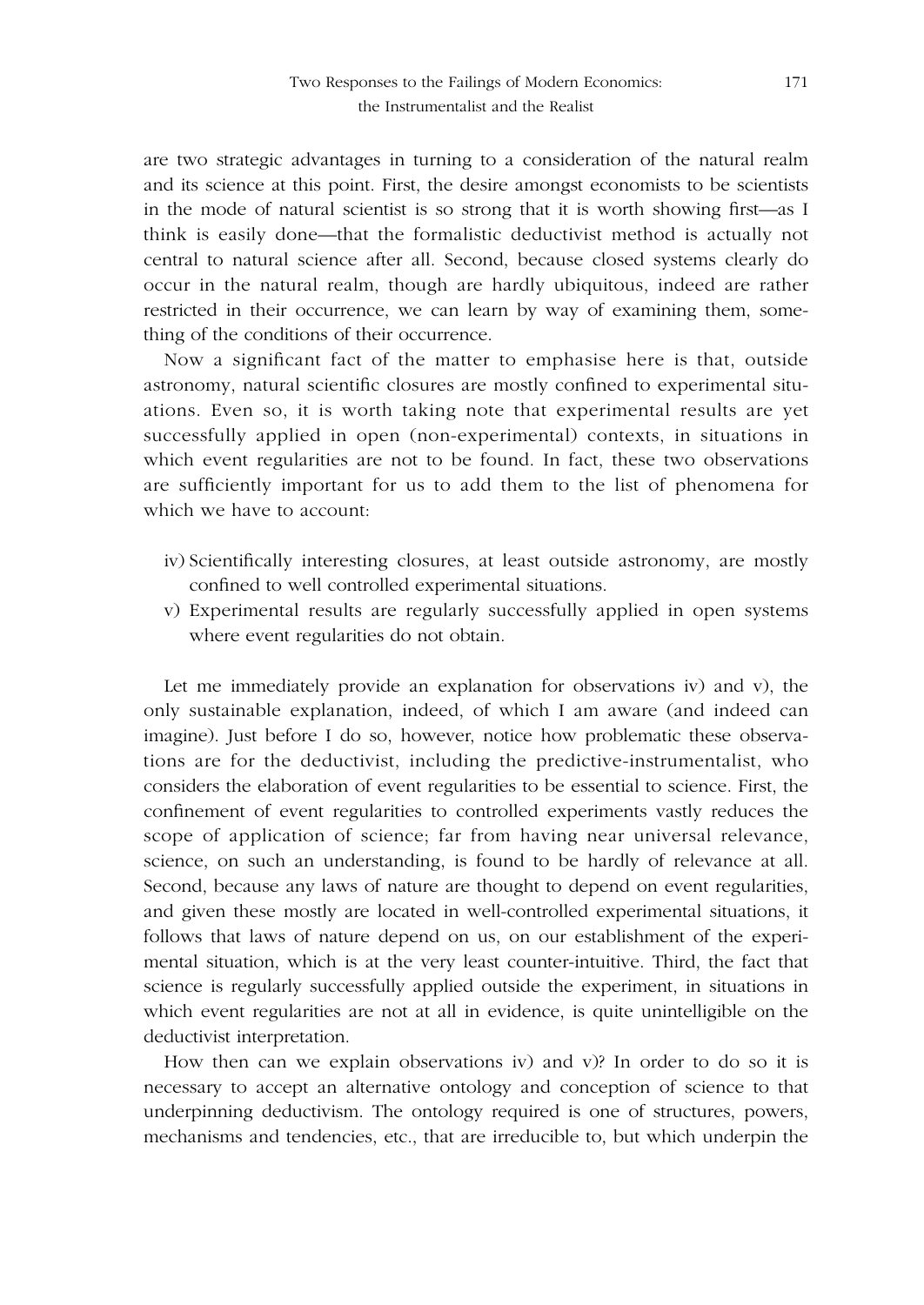are two strategic advantages in turning to a consideration of the natural realm and its science at this point. First, the desire amongst economists to be scientists in the mode of natural scientist is so strong that it is worth showing first—as I think is easily done—that the formalistic deductivist method is actually not central to natural science after all. Second, because closed systems clearly do occur in the natural realm, though are hardly ubiquitous, indeed are rather restricted in their occurrence, we can learn by way of examining them, something of the conditions of their occurrence.

Now a significant fact of the matter to emphasise here is that, outside astronomy, natural scientific closures are mostly confined to experimental situations. Even so, it is worth taking note that experimental results are yet successfully applied in open (non-experimental) contexts, in situations in which event regularities are not to be found. In fact, these two observations are sufficiently important for us to add them to the list of phenomena for which we have to account:

- iv) Scientifically interesting closures, at least outside astronomy, are mostly confined to well controlled experimental situations.
- v) Experimental results are regularly successfully applied in open systems where event regularities do not obtain.

Let me immediately provide an explanation for observations iv) and v), the only sustainable explanation, indeed, of which I am aware (and indeed can imagine). Just before I do so, however, notice how problematic these observations are for the deductivist, including the predictive-instrumentalist, who considers the elaboration of event regularities to be essential to science. First, the confinement of event regularities to controlled experiments vastly reduces the scope of application of science; far from having near universal relevance, science, on such an understanding, is found to be hardly of relevance at all. Second, because any laws of nature are thought to depend on event regularities, and given these mostly are located in well-controlled experimental situations, it follows that laws of nature depend on us, on our establishment of the experimental situation, which is at the very least counter-intuitive. Third, the fact that science is regularly successfully applied outside the experiment, in situations in which event regularities are not at all in evidence, is quite unintelligible on the deductivist interpretation.

How then can we explain observations iv) and v)? In order to do so it is necessary to accept an alternative ontology and conception of science to that underpinning deductivism. The ontology required is one of structures, powers, mechanisms and tendencies, etc., that are irreducible to, but which underpin the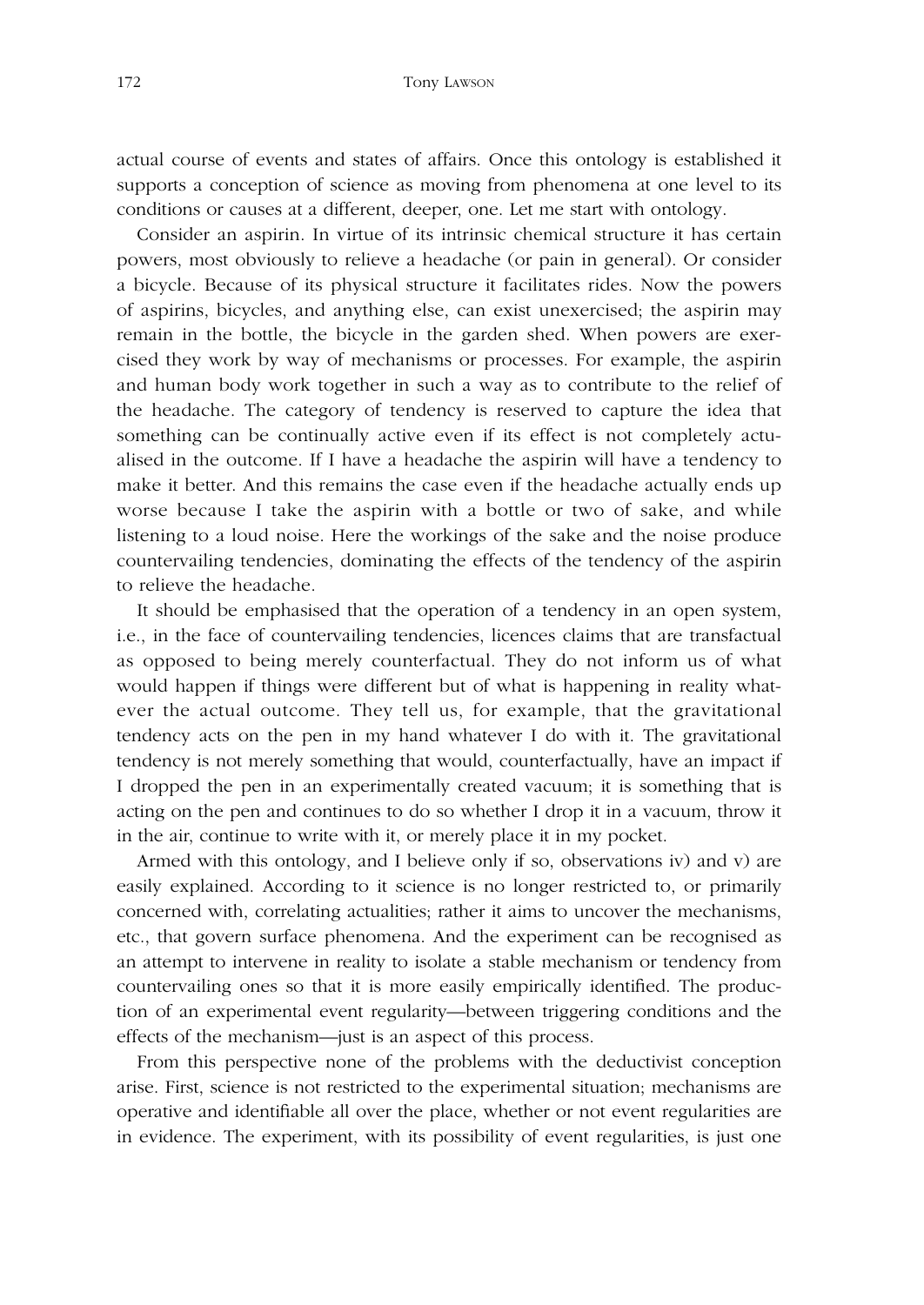actual course of events and states of affairs. Once this ontology is established it supports a conception of science as moving from phenomena at one level to its conditions or causes at a different, deeper, one. Let me start with ontology.

Consider an aspirin. In virtue of its intrinsic chemical structure it has certain powers, most obviously to relieve a headache (or pain in general). Or consider a bicycle. Because of its physical structure it facilitates rides. Now the powers of aspirins, bicycles, and anything else, can exist unexercised; the aspirin may remain in the bottle, the bicycle in the garden shed. When powers are exercised they work by way of mechanisms or processes. For example, the aspirin and human body work together in such a way as to contribute to the relief of the headache. The category of tendency is reserved to capture the idea that something can be continually active even if its effect is not completely actualised in the outcome. If I have a headache the aspirin will have a tendency to make it better. And this remains the case even if the headache actually ends up worse because I take the aspirin with a bottle or two of sake, and while listening to a loud noise. Here the workings of the sake and the noise produce countervailing tendencies, dominating the effects of the tendency of the aspirin to relieve the headache.

It should be emphasised that the operation of a tendency in an open system, i.e., in the face of countervailing tendencies, licences claims that are transfactual as opposed to being merely counterfactual. They do not inform us of what would happen if things were different but of what is happening in reality whatever the actual outcome. They tell us, for example, that the gravitational tendency acts on the pen in my hand whatever I do with it. The gravitational tendency is not merely something that would, counterfactually, have an impact if I dropped the pen in an experimentally created vacuum; it is something that is acting on the pen and continues to do so whether I drop it in a vacuum, throw it in the air, continue to write with it, or merely place it in my pocket.

Armed with this ontology, and I believe only if so, observations iv) and v) are easily explained. According to it science is no longer restricted to, or primarily concerned with, correlating actualities; rather it aims to uncover the mechanisms, etc., that govern surface phenomena. And the experiment can be recognised as an attempt to intervene in reality to isolate a stable mechanism or tendency from countervailing ones so that it is more easily empirically identified. The production of an experimental event regularity—between triggering conditions and the effects of the mechanism—just is an aspect of this process.

From this perspective none of the problems with the deductivist conception arise. First, science is not restricted to the experimental situation; mechanisms are operative and identifiable all over the place, whether or not event regularities are in evidence. The experiment, with its possibility of event regularities, is just one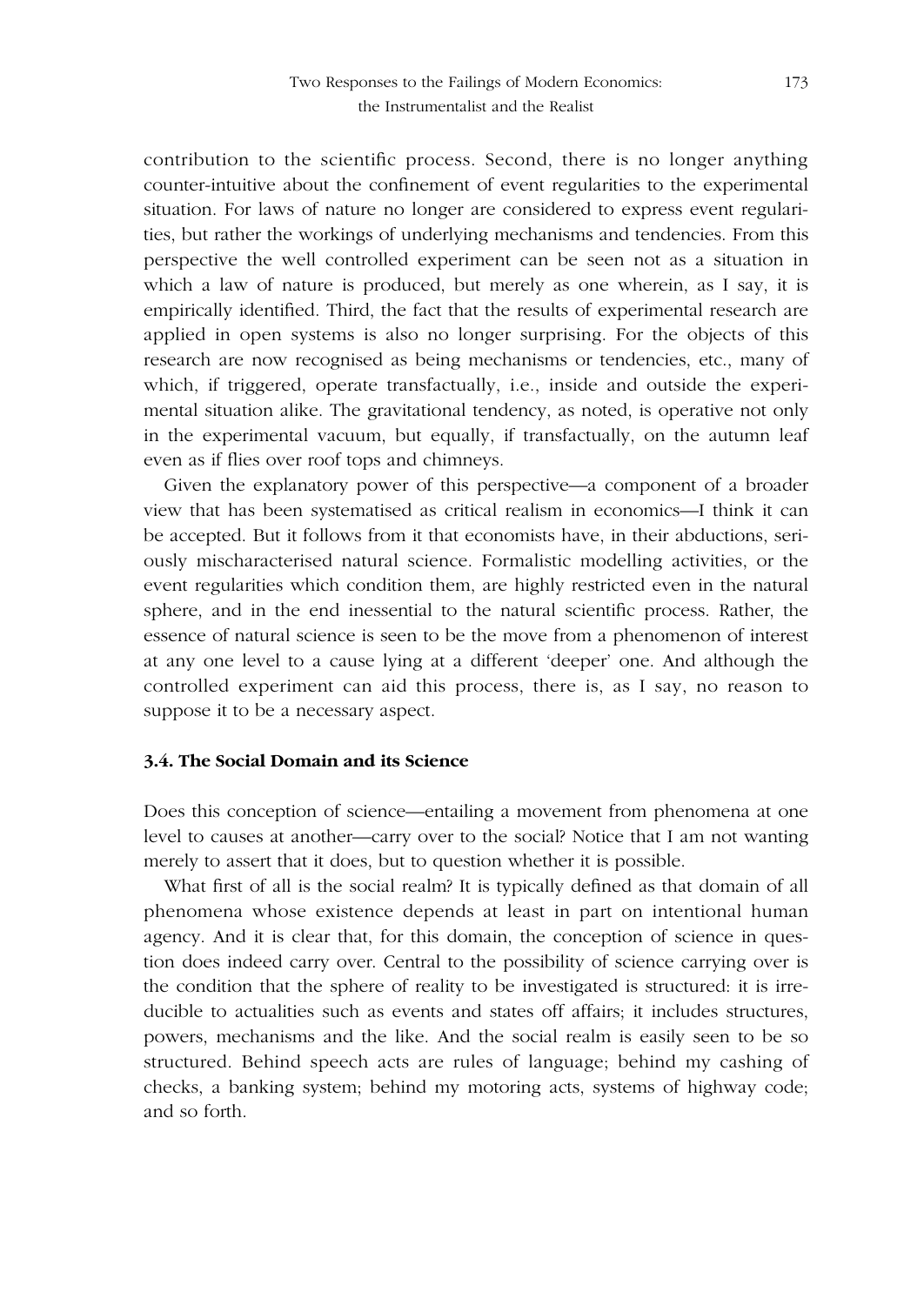contribution to the scientific process. Second, there is no longer anything counter-intuitive about the confinement of event regularities to the experimental situation. For laws of nature no longer are considered to express event regularities, but rather the workings of underlying mechanisms and tendencies. From this perspective the well controlled experiment can be seen not as a situation in which a law of nature is produced, but merely as one wherein, as I say, it is empirically identified. Third, the fact that the results of experimental research are applied in open systems is also no longer surprising. For the objects of this research are now recognised as being mechanisms or tendencies, etc., many of which, if triggered, operate transfactually, i.e., inside and outside the experimental situation alike. The gravitational tendency, as noted, is operative not only in the experimental vacuum, but equally, if transfactually, on the autumn leaf even as if flies over roof tops and chimneys.

Given the explanatory power of this perspective—a component of a broader view that has been systematised as critical realism in economics—I think it can be accepted. But it follows from it that economists have, in their abductions, seriously mischaracterised natural science. Formalistic modelling activities, or the event regularities which condition them, are highly restricted even in the natural sphere, and in the end inessential to the natural scientific process. Rather, the essence of natural science is seen to be the move from a phenomenon of interest at any one level to a cause lying at a different 'deeper' one. And although the controlled experiment can aid this process, there is, as I say, no reason to suppose it to be a necessary aspect.

## **3.4. The Social Domain and its Science**

Does this conception of science—entailing a movement from phenomena at one level to causes at another—carry over to the social? Notice that I am not wanting merely to assert that it does, but to question whether it is possible.

What first of all is the social realm? It is typically defined as that domain of all phenomena whose existence depends at least in part on intentional human agency. And it is clear that, for this domain, the conception of science in question does indeed carry over. Central to the possibility of science carrying over is the condition that the sphere of reality to be investigated is structured: it is irreducible to actualities such as events and states off affairs; it includes structures, powers, mechanisms and the like. And the social realm is easily seen to be so structured. Behind speech acts are rules of language; behind my cashing of checks, a banking system; behind my motoring acts, systems of highway code; and so forth.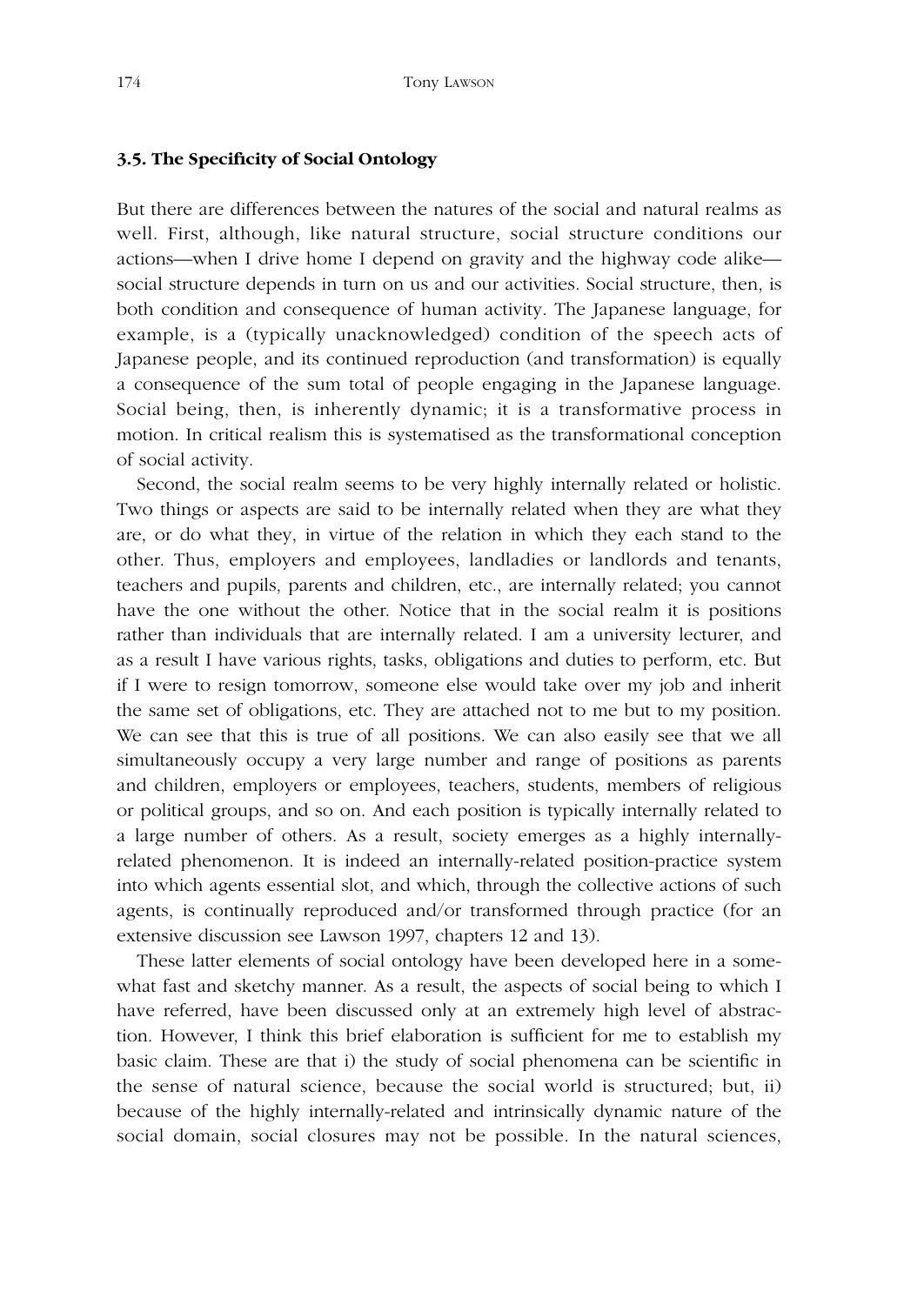## **3.5. The Specificity of Social Ontology**

But there are differences between the natures of the social and natural realms as well. First, although, like natural structure, social structure conditions our actions—when I drive home I depend on gravity and the highway code alike social structure depends in turn on us and our activities. Social structure, then, is both condition and consequence of human activity. The Japanese language, for example, is a (typically unacknowledged) condition of the speech acts of Japanese people, and its continued reproduction (and transformation) is equally a consequence of the sum total of people engaging in the Japanese language. Social being, then, is inherently dynamic; it is a transformative process in motion. In critical realism this is systematised as the transformational conception of social activity.

Second, the social realm seems to be very highly internally related or holistic. Two things or aspects are said to be internally related when they are what they are, or do what they, in virtue of the relation in which they each stand to the other. Thus, employers and employees, landladies or landlords and tenants, teachers and pupils, parents and children, etc., are internally related; you cannot have the one without the other. Notice that in the social realm it is positions rather than individuals that are internally related. I am a university lecturer, and as a result I have various rights, tasks, obligations and duties to perform, etc. But if I were to resign tomorrow, someone else would take over my job and inherit the same set of obligations, etc. They are attached not to me but to my position. We can see that this is true of all positions. We can also easily see that we all simultaneously occupy a very large number and range of positions as parents and children, employers or employees, teachers, students, members of religious or political groups, and so on. And each position is typically internally related to a large number of others. As a result, society emerges as a highly internallyrelated phenomenon. It is indeed an internally-related position-practice system into which agents essential slot, and which, through the collective actions of such agents, is continually reproduced and/or transformed through practice (for an extensive discussion see Lawson 1997, chapters 12 and 13).

These latter elements of social ontology have been developed here in a somewhat fast and sketchy manner. As a result, the aspects of social being to which I have referred, have been discussed only at an extremely high level of abstraction. However, I think this brief elaboration is sufficient for me to establish my basic claim. These are that i) the study of social phenomena can be scientific in the sense of natural science, because the social world is structured; but, ii) because of the highly internally-related and intrinsically dynamic nature of the social domain, social closures may not be possible. In the natural sciences,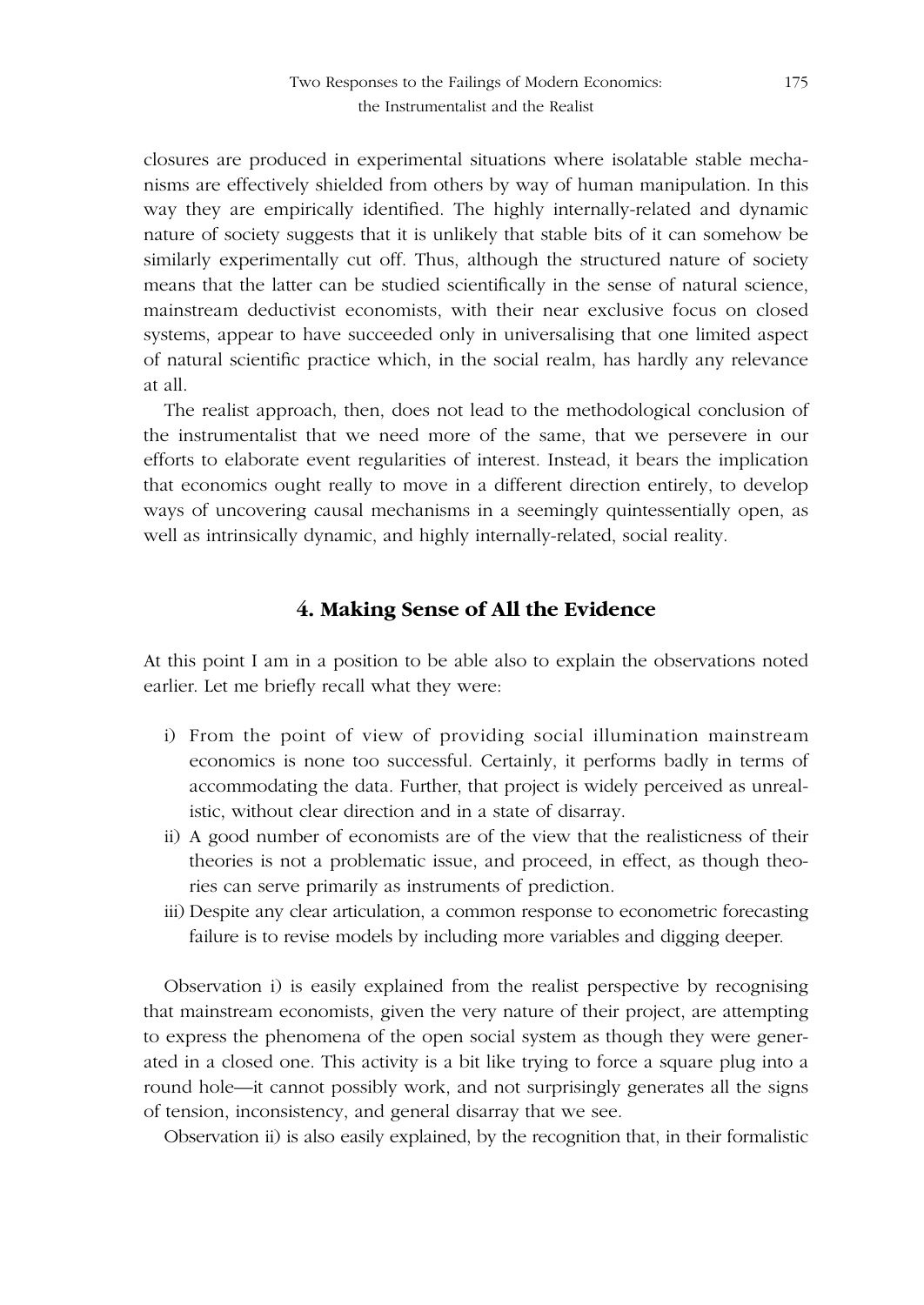closures are produced in experimental situations where isolatable stable mechanisms are effectively shielded from others by way of human manipulation. In this way they are empirically identified. The highly internally-related and dynamic nature of society suggests that it is unlikely that stable bits of it can somehow be similarly experimentally cut off. Thus, although the structured nature of society means that the latter can be studied scientifically in the sense of natural science, mainstream deductivist economists, with their near exclusive focus on closed systems, appear to have succeeded only in universalising that one limited aspect of natural scientific practice which, in the social realm, has hardly any relevance at all.

The realist approach, then, does not lead to the methodological conclusion of the instrumentalist that we need more of the same, that we persevere in our efforts to elaborate event regularities of interest. Instead, it bears the implication that economics ought really to move in a different direction entirely, to develop ways of uncovering causal mechanisms in a seemingly quintessentially open, as well as intrinsically dynamic, and highly internally-related, social reality.

## **4. Making Sense of All the Evidence**

At this point I am in a position to be able also to explain the observations noted earlier. Let me briefly recall what they were:

- i) From the point of view of providing social illumination mainstream economics is none too successful. Certainly, it performs badly in terms of accommodating the data. Further, that project is widely perceived as unrealistic, without clear direction and in a state of disarray.
- ii) A good number of economists are of the view that the realisticness of their theories is not a problematic issue, and proceed, in effect, as though theories can serve primarily as instruments of prediction.
- iii) Despite any clear articulation, a common response to econometric forecasting failure is to revise models by including more variables and digging deeper.

Observation i) is easily explained from the realist perspective by recognising that mainstream economists, given the very nature of their project, are attempting to express the phenomena of the open social system as though they were generated in a closed one. This activity is a bit like trying to force a square plug into a round hole—it cannot possibly work, and not surprisingly generates all the signs of tension, inconsistency, and general disarray that we see.

Observation ii) is also easily explained, by the recognition that, in their formalistic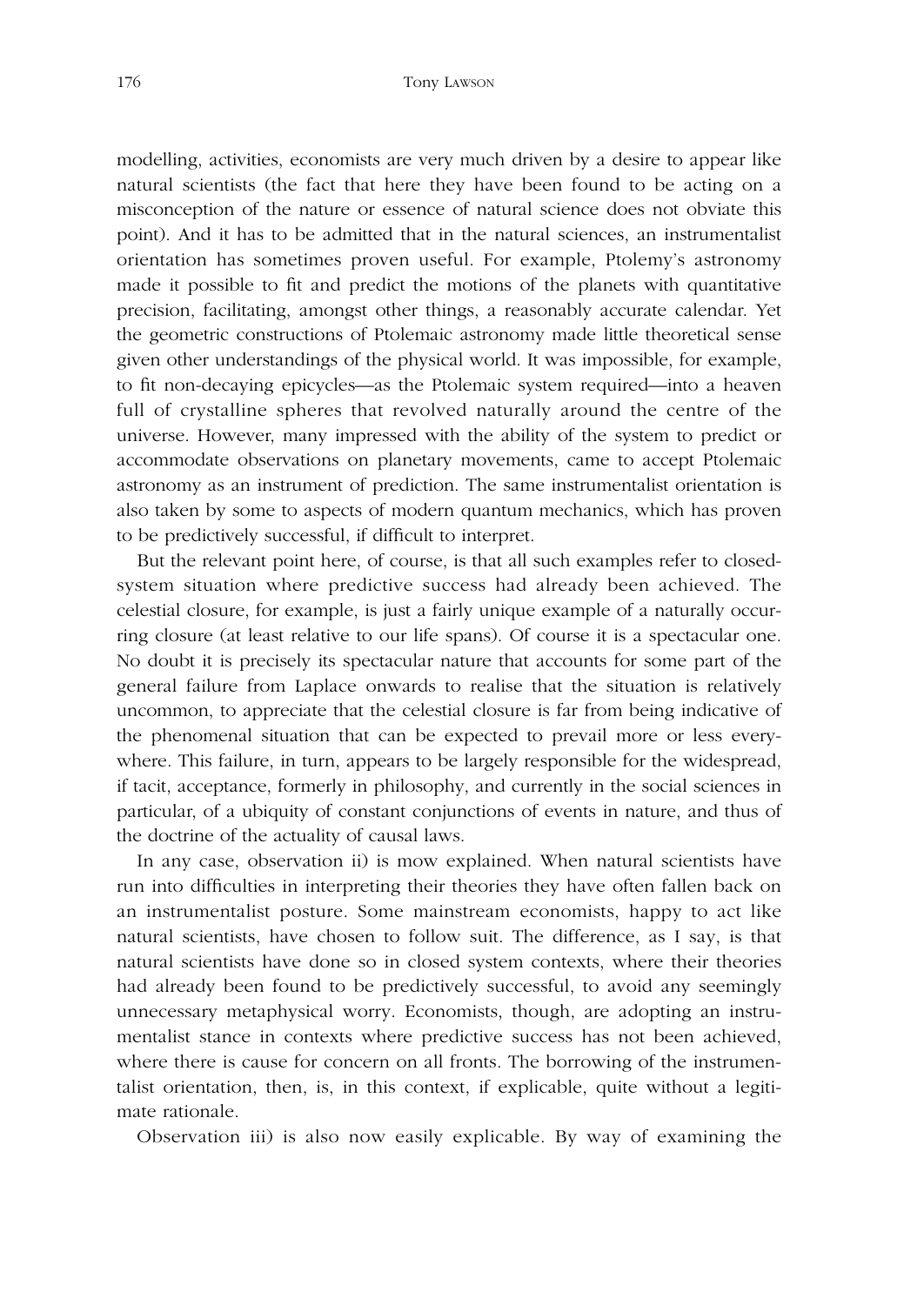modelling, activities, economists are very much driven by a desire to appear like natural scientists (the fact that here they have been found to be acting on a misconception of the nature or essence of natural science does not obviate this point). And it has to be admitted that in the natural sciences, an instrumentalist orientation has sometimes proven useful. For example, Ptolemy's astronomy made it possible to fit and predict the motions of the planets with quantitative precision, facilitating, amongst other things, a reasonably accurate calendar. Yet the geometric constructions of Ptolemaic astronomy made little theoretical sense given other understandings of the physical world. It was impossible, for example, to fit non-decaying epicycles—as the Ptolemaic system required—into a heaven full of crystalline spheres that revolved naturally around the centre of the universe. However, many impressed with the ability of the system to predict or accommodate observations on planetary movements, came to accept Ptolemaic astronomy as an instrument of prediction. The same instrumentalist orientation is also taken by some to aspects of modern quantum mechanics, which has proven to be predictively successful, if difficult to interpret.

But the relevant point here, of course, is that all such examples refer to closedsystem situation where predictive success had already been achieved. The celestial closure, for example, is just a fairly unique example of a naturally occurring closure (at least relative to our life spans). Of course it is a spectacular one. No doubt it is precisely its spectacular nature that accounts for some part of the general failure from Laplace onwards to realise that the situation is relatively uncommon, to appreciate that the celestial closure is far from being indicative of the phenomenal situation that can be expected to prevail more or less everywhere. This failure, in turn, appears to be largely responsible for the widespread, if tacit, acceptance, formerly in philosophy, and currently in the social sciences in particular, of a ubiquity of constant conjunctions of events in nature, and thus of the doctrine of the actuality of causal laws.

In any case, observation ii) is mow explained. When natural scientists have run into difficulties in interpreting their theories they have often fallen back on an instrumentalist posture. Some mainstream economists, happy to act like natural scientists, have chosen to follow suit. The difference, as I say, is that natural scientists have done so in closed system contexts, where their theories had already been found to be predictively successful, to avoid any seemingly unnecessary metaphysical worry. Economists, though, are adopting an instrumentalist stance in contexts where predictive success has not been achieved, where there is cause for concern on all fronts. The borrowing of the instrumentalist orientation, then, is, in this context, if explicable, quite without a legitimate rationale.

Observation iii) is also now easily explicable. By way of examining the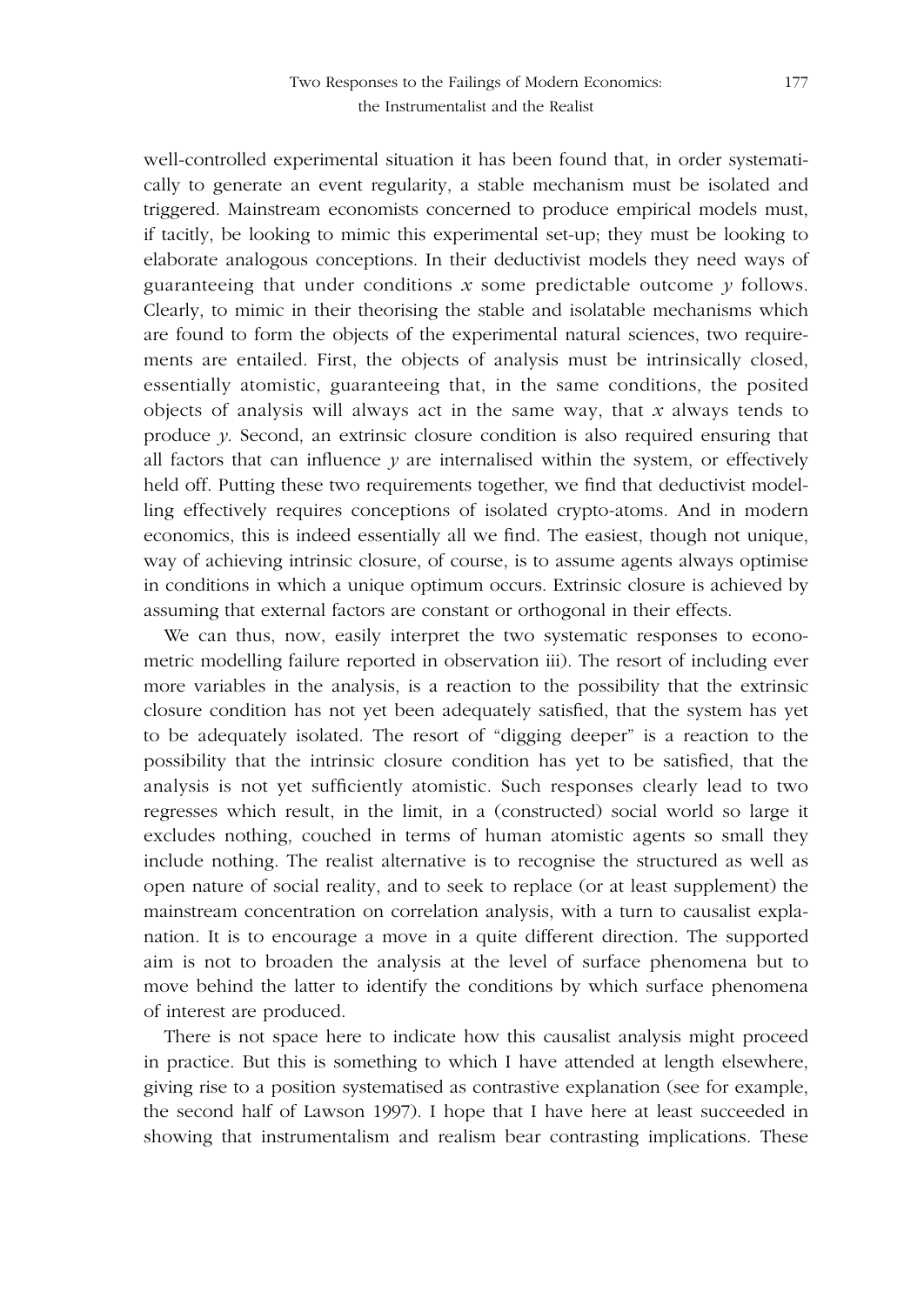well-controlled experimental situation it has been found that, in order systematically to generate an event regularity, a stable mechanism must be isolated and triggered. Mainstream economists concerned to produce empirical models must, if tacitly, be looking to mimic this experimental set-up; they must be looking to elaborate analogous conceptions. In their deductivist models they need ways of guaranteeing that under conditions  $x$  some predictable outcome  $\gamma$  follows. Clearly, to mimic in their theorising the stable and isolatable mechanisms which are found to form the objects of the experimental natural sciences, two requirements are entailed. First, the objects of analysis must be intrinsically closed, essentially atomistic, guaranteeing that, in the same conditions, the posited objects of analysis will always act in the same way, that *x* always tends to produce  $\gamma$ . Second, an extrinsic closure condition is also required ensuring that all factors that can influence  $\gamma$  are internalised within the system, or effectively held off. Putting these two requirements together, we find that deductivist modelling effectively requires conceptions of isolated crypto-atoms. And in modern economics, this is indeed essentially all we find. The easiest, though not unique, way of achieving intrinsic closure, of course, is to assume agents always optimise in conditions in which a unique optimum occurs. Extrinsic closure is achieved by assuming that external factors are constant or orthogonal in their effects.

We can thus, now, easily interpret the two systematic responses to econometric modelling failure reported in observation iii). The resort of including ever more variables in the analysis, is a reaction to the possibility that the extrinsic closure condition has not yet been adequately satisfied, that the system has yet to be adequately isolated. The resort of "digging deeper" is a reaction to the possibility that the intrinsic closure condition has yet to be satisfied, that the analysis is not yet sufficiently atomistic. Such responses clearly lead to two regresses which result, in the limit, in a (constructed) social world so large it excludes nothing, couched in terms of human atomistic agents so small they include nothing. The realist alternative is to recognise the structured as well as open nature of social reality, and to seek to replace (or at least supplement) the mainstream concentration on correlation analysis, with a turn to causalist explanation. It is to encourage a move in a quite different direction. The supported aim is not to broaden the analysis at the level of surface phenomena but to move behind the latter to identify the conditions by which surface phenomena of interest are produced.

There is not space here to indicate how this causalist analysis might proceed in practice. But this is something to which I have attended at length elsewhere, giving rise to a position systematised as contrastive explanation (see for example, the second half of Lawson 1997). I hope that I have here at least succeeded in showing that instrumentalism and realism bear contrasting implications. These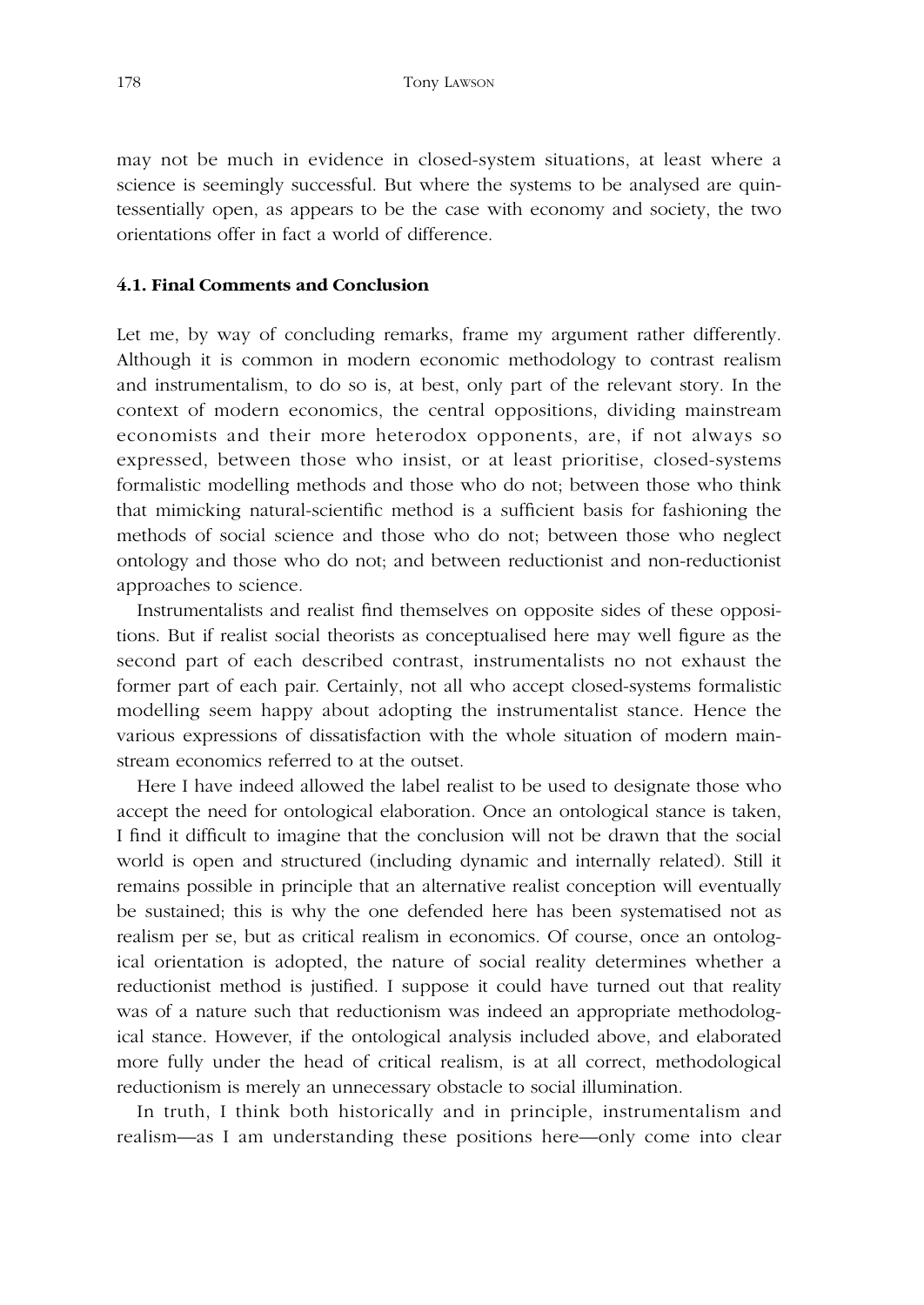may not be much in evidence in closed-system situations, at least where a science is seemingly successful. But where the systems to be analysed are quintessentially open, as appears to be the case with economy and society, the two orientations offer in fact a world of difference.

## **4.1. Final Comments and Conclusion**

Let me, by way of concluding remarks, frame my argument rather differently. Although it is common in modern economic methodology to contrast realism and instrumentalism, to do so is, at best, only part of the relevant story. In the context of modern economics, the central oppositions, dividing mainstream economists and their more heterodox opponents, are, if not always so expressed, between those who insist, or at least prioritise, closed-systems formalistic modelling methods and those who do not; between those who think that mimicking natural-scientific method is a sufficient basis for fashioning the methods of social science and those who do not; between those who neglect ontology and those who do not; and between reductionist and non-reductionist approaches to science.

Instrumentalists and realist find themselves on opposite sides of these oppositions. But if realist social theorists as conceptualised here may well figure as the second part of each described contrast, instrumentalists no not exhaust the former part of each pair. Certainly, not all who accept closed-systems formalistic modelling seem happy about adopting the instrumentalist stance. Hence the various expressions of dissatisfaction with the whole situation of modern mainstream economics referred to at the outset.

Here I have indeed allowed the label realist to be used to designate those who accept the need for ontological elaboration. Once an ontological stance is taken, I find it difficult to imagine that the conclusion will not be drawn that the social world is open and structured (including dynamic and internally related). Still it remains possible in principle that an alternative realist conception will eventually be sustained; this is why the one defended here has been systematised not as realism per se, but as critical realism in economics. Of course, once an ontological orientation is adopted, the nature of social reality determines whether a reductionist method is justified. I suppose it could have turned out that reality was of a nature such that reductionism was indeed an appropriate methodological stance. However, if the ontological analysis included above, and elaborated more fully under the head of critical realism, is at all correct, methodological reductionism is merely an unnecessary obstacle to social illumination.

In truth, I think both historically and in principle, instrumentalism and realism—as I am understanding these positions here—only come into clear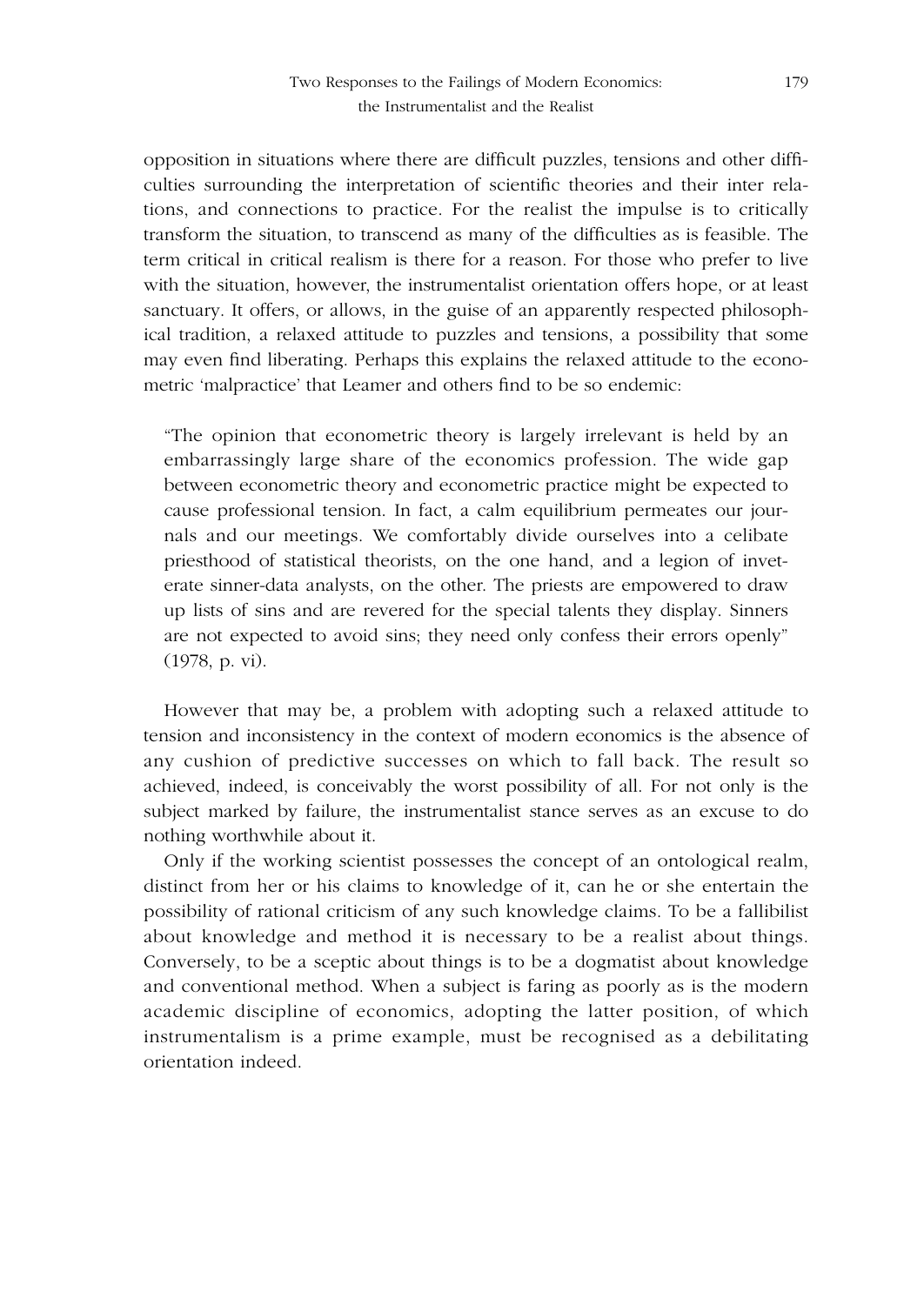opposition in situations where there are difficult puzzles, tensions and other difficulties surrounding the interpretation of scientific theories and their inter relations, and connections to practice. For the realist the impulse is to critically transform the situation, to transcend as many of the difficulties as is feasible. The term critical in critical realism is there for a reason. For those who prefer to live with the situation, however, the instrumentalist orientation offers hope, or at least sanctuary. It offers, or allows, in the guise of an apparently respected philosophical tradition, a relaxed attitude to puzzles and tensions, a possibility that some may even find liberating. Perhaps this explains the relaxed attitude to the econometric 'malpractice' that Leamer and others find to be so endemic:

"The opinion that econometric theory is largely irrelevant is held by an embarrassingly large share of the economics profession. The wide gap between econometric theory and econometric practice might be expected to cause professional tension. In fact, a calm equilibrium permeates our journals and our meetings. We comfortably divide ourselves into a celibate priesthood of statistical theorists, on the one hand, and a legion of inveterate sinner-data analysts, on the other. The priests are empowered to draw up lists of sins and are revered for the special talents they display. Sinners are not expected to avoid sins; they need only confess their errors openly" (1978, p. vi).

However that may be, a problem with adopting such a relaxed attitude to tension and inconsistency in the context of modern economics is the absence of any cushion of predictive successes on which to fall back. The result so achieved, indeed, is conceivably the worst possibility of all. For not only is the subject marked by failure, the instrumentalist stance serves as an excuse to do nothing worthwhile about it.

Only if the working scientist possesses the concept of an ontological realm, distinct from her or his claims to knowledge of it, can he or she entertain the possibility of rational criticism of any such knowledge claims. To be a fallibilist about knowledge and method it is necessary to be a realist about things. Conversely, to be a sceptic about things is to be a dogmatist about knowledge and conventional method. When a subject is faring as poorly as is the modern academic discipline of economics, adopting the latter position, of which instrumentalism is a prime example, must be recognised as a debilitating orientation indeed.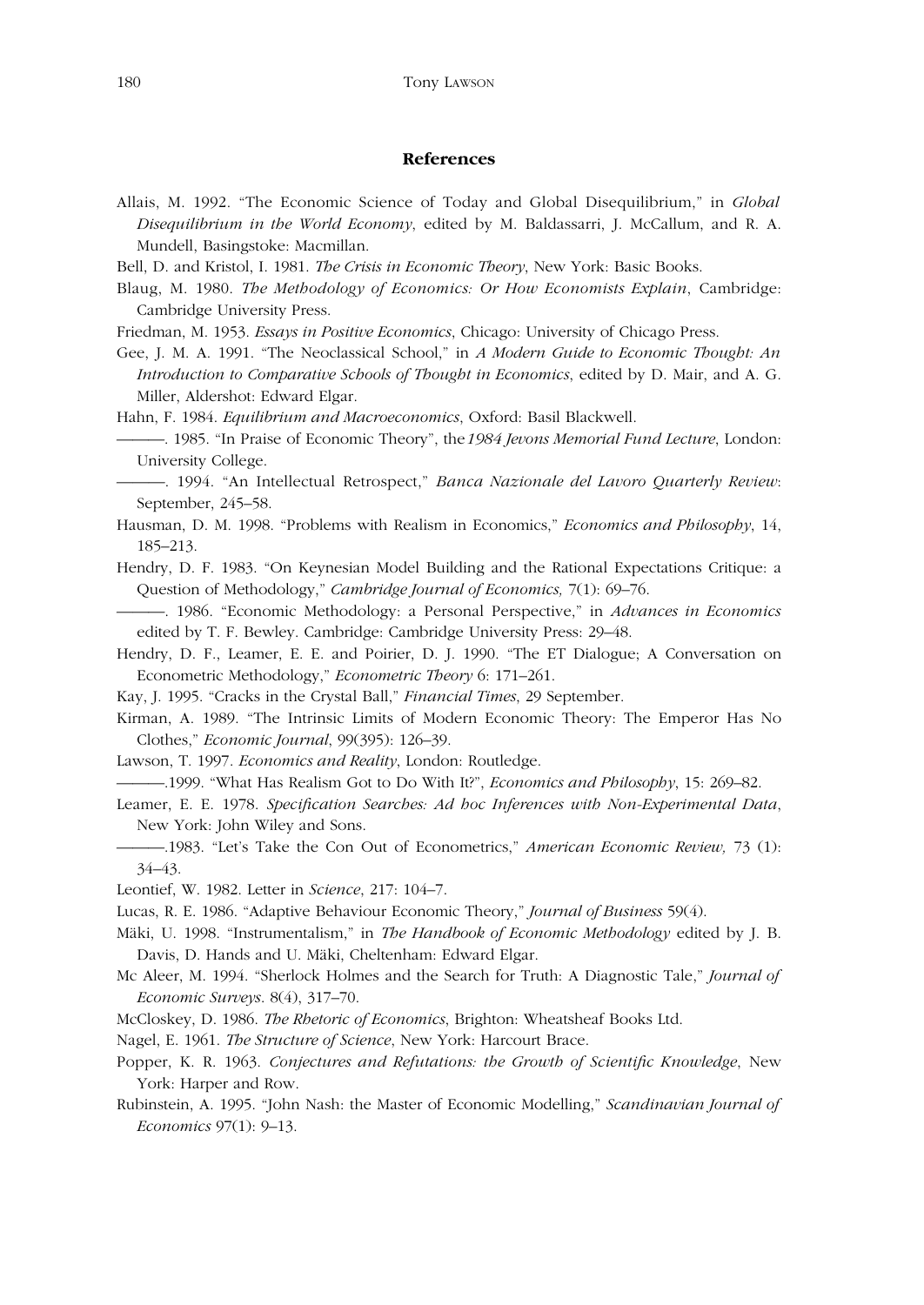#### **References**

- Allais, M. 1992. "The Economic Science of Today and Global Disequilibrium," in *Global Disequilibrium in the World Economy*, edited by M. Baldassarri, J. McCallum, and R. A. Mundell, Basingstoke: Macmillan.
- Bell, D. and Kristol, I. 1981. *The Crisis in Economic Theory*, New York: Basic Books.
- Blaug, M. 1980. *The Methodology of Economics: Or How Economists Explain*, Cambridge: Cambridge University Press.

Friedman, M. 1953. *Essays in Positive Economics*, Chicago: University of Chicago Press.

Gee, J. M. A. 1991. "The Neoclassical School," in *A Modern Guide to Economic Thought: An Introduction to Comparative Schools of Thought in Economics*, edited by D. Mair, and A. G. Miller, Aldershot: Edward Elgar.

Hahn, F. 1984. *Equilibrium and Macroeconomics*, Oxford: Basil Blackwell.

———. 1985. "In Praise of Economic Theory", the*1984 Jevons Memorial Fund Lecture*, London: University College.

———. 1994. "An Intellectual Retrospect," *Banca Nazionale del Lavoro Quarterly Review*: September, 245–58.

- Hausman, D. M. 1998. "Problems with Realism in Economics," *Economics and Philosophy*, 14, 185–213.
- Hendry, D. F. 1983. "On Keynesian Model Building and the Rational Expectations Critique: a Question of Methodology," *Cambridge Journal of Economics,* 7(1): 69–76.

———. 1986. "Economic Methodology: a Personal Perspective," in *Advances in Economics* edited by T. F. Bewley. Cambridge: Cambridge University Press: 29–48.

Hendry, D. F., Leamer, E. E. and Poirier, D. J. 1990. "The ET Dialogue; A Conversation on Econometric Methodology," *Econometric Theory* 6: 171–261.

Kay, J. 1995. "Cracks in the Crystal Ball," *Financial Times*, 29 September.

Kirman, A. 1989. "The Intrinsic Limits of Modern Economic Theory: The Emperor Has No Clothes," *Economic Journal*, 99(395): 126–39.

Lawson, T. 1997. *Economics and Reality*, London: Routledge.

———.1999. "What Has Realism Got to Do With It?", *Economics and Philosophy*, 15: 269–82.

Leamer, E. E. 1978. *Specification Searches: Ad hoc Inferences with Non-Experimental Data*, New York: John Wiley and Sons.

———.1983. "Let's Take the Con Out of Econometrics," *American Economic Review,* 73 (1): 34–43.

Leontief, W. 1982. Letter in *Science*, 217: 104–7.

Lucas, R. E. 1986. "Adaptive Behaviour Economic Theory," *Journal of Business* 59(4).

Mäki, U. 1998. "Instrumentalism," in *The Handbook of Economic Methodology* edited by J. B. Davis, D. Hands and U. Mäki, Cheltenham: Edward Elgar.

Mc Aleer, M. 1994. "Sherlock Holmes and the Search for Truth: A Diagnostic Tale," *Journal of Economic Surveys*. 8(4), 317–70.

- McCloskey, D. 1986. *The Rhetoric of Economics*, Brighton: Wheatsheaf Books Ltd.
- Nagel, E. 1961. *The Structure of Science*, New York: Harcourt Brace.
- Popper, K. R. 1963. *Conjectures and Refutations: the Growth of Scientific Knowledge*, New York: Harper and Row.
- Rubinstein, A. 1995. "John Nash: the Master of Economic Modelling," *Scandinavian Journal of Economics* 97(1): 9–13.